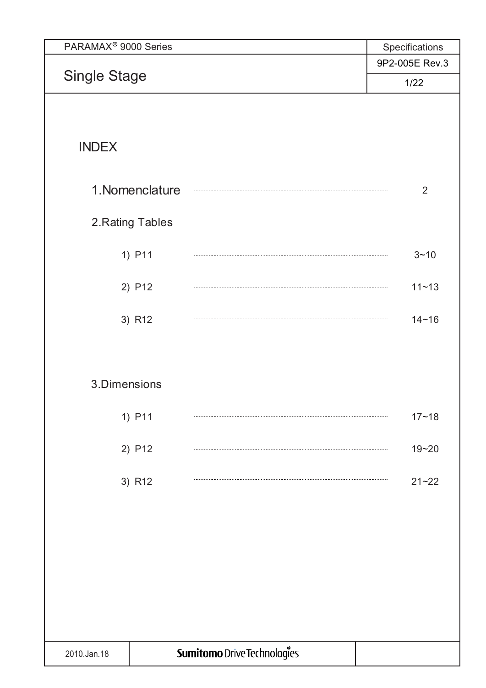| PARAMAX <sup>®</sup> 9000 Series |                  |                             | Specifications |
|----------------------------------|------------------|-----------------------------|----------------|
|                                  |                  |                             | 9P2-005E Rev.3 |
| <b>Single Stage</b>              |                  |                             | 1/22           |
|                                  |                  |                             |                |
|                                  |                  |                             |                |
| <b>INDEX</b>                     |                  |                             |                |
|                                  |                  |                             |                |
|                                  | 1. Nomenclature  |                             | 2              |
|                                  |                  |                             |                |
|                                  | 2. Rating Tables |                             |                |
|                                  | 1) P11           |                             | $3 - 10$       |
|                                  |                  |                             |                |
|                                  | 2) P12           |                             | $11 - 13$      |
|                                  |                  |                             |                |
|                                  | 3) R12           |                             | $14 - 16$      |
|                                  |                  |                             |                |
|                                  |                  |                             |                |
| 3.Dimensions                     |                  |                             |                |
|                                  | 1) P11           |                             | $17 - 18$      |
|                                  |                  |                             |                |
|                                  | 2) P12           |                             | $19 - 20$      |
|                                  | 3) R12           |                             | $21 - 22$      |
|                                  |                  |                             |                |
|                                  |                  |                             |                |
|                                  |                  |                             |                |
|                                  |                  |                             |                |
|                                  |                  |                             |                |
|                                  |                  |                             |                |
|                                  |                  |                             |                |
|                                  |                  |                             |                |
| 2010.Jan.18                      |                  | Sumitomo Drive Technologies |                |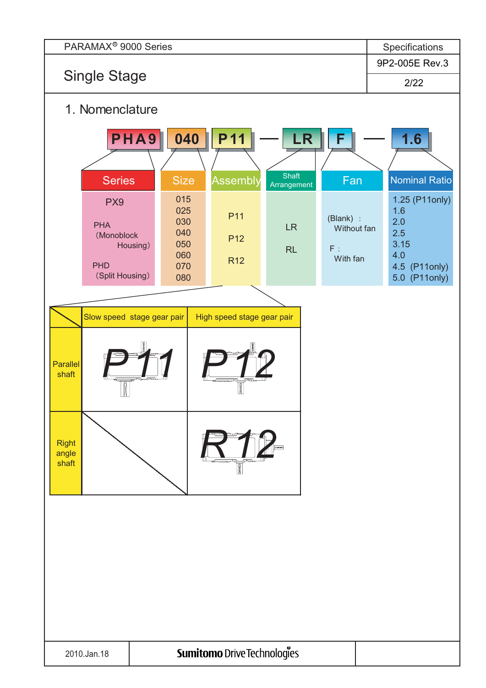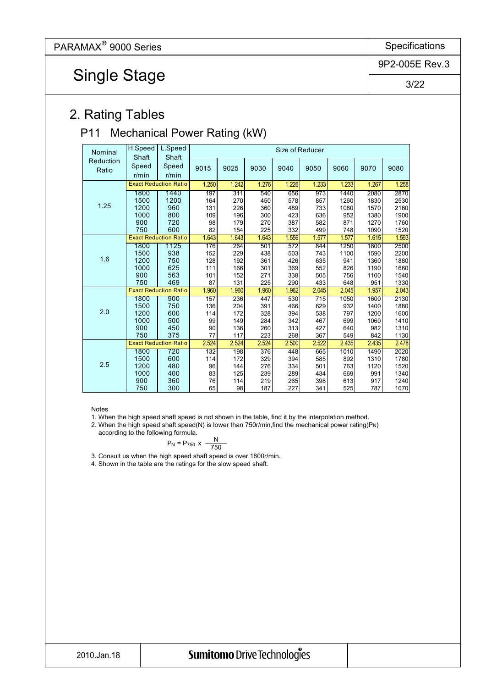Single Stage

9P2-005E Rev.3

3/22

## 2. Rating Tables

#### P11 Mechanical Power Rating (kW)

| Nominal            | H.Speed                      | L.Speed<br>Shaft             |          |       |       |       | Size of Reducer |       |       |       |       |       |
|--------------------|------------------------------|------------------------------|----------|-------|-------|-------|-----------------|-------|-------|-------|-------|-------|
| Reduction<br>Ratio | Shaft<br>Speed<br>$r/m$ in   | Speed<br>$r/m$ in            | 9015     | 9025  | 9030  | 9040  | 9050            | 9060  | 9070  | 9080  |       |       |
|                    | <b>Exact Reduction Ratio</b> |                              |          |       | 1.250 | 1.242 | 1.276           | 1.226 | 1.233 | 1.233 | 1.267 | 1.258 |
|                    | 1800                         | 1440                         | 197      | 311   | 540   | 656   | 973             | 1440  | 2080  | 2870  |       |       |
|                    | 1500                         | 1200                         | 164      | 270   | 450   | 578   | 857             | 1260  | 1830  | 2530  |       |       |
| 1.25               | 1200                         | 960                          | 131      | 226   | 360   | 489   | 733             | 1080  | 1570  | 2160  |       |       |
|                    | 1000                         | 800                          | 109      | 196   | 300   | 423   | 636             | 952   | 1380  | 1900  |       |       |
|                    | 900                          | 720                          | 98       | 179   | 270   | 387   | 582             | 871   | 1270  | 1760  |       |       |
|                    | 750                          | 600                          | 82       | 154   | 225   | 332   | 499             | 748   | 1090  | 1520  |       |       |
|                    |                              | <b>Exact Reduction Ratio</b> | 1.643    | 1.643 | 1.643 | 1.556 | 1.577           | 1.577 | 1.615 | 1.593 |       |       |
|                    | 1800                         | 1125                         | 176      | 264   | 501   | 572   | 844             | 1250  | 1800  | 2500  |       |       |
|                    | 1500                         | 938                          | 152      | 229   | 438   | 503   | 743             | 1100  | 1590  | 2200  |       |       |
| 1.6                | 1200                         | 750                          | 128      | 192   | 361   | 426   | 635             | 941   | 1360  | 1880  |       |       |
|                    | 1000                         | 625                          | 111      | 166   | 301   | 369   | 552             | 826   | 1190  | 1660  |       |       |
|                    | 900                          | 563                          | 101      | 152   | 271   | 338   | 505             | 756   | 1100  | 1540  |       |       |
|                    | 750                          | 469                          | 87       | 131   | 225   | 290   | 433             | 648   | 951   | 1330  |       |       |
|                    |                              | <b>Exact Reduction Ratio</b> | 1.960    | 1.960 | 1.960 | 1.962 | 2.045           | 2.045 | 1.957 | 2.043 |       |       |
|                    | 1800                         | 900                          | 157      | 236   | 447   | 530   | 715             | 1050  | 1600  | 2130  |       |       |
| 2.0                | 1500                         | 750                          | 136      | 204   | 391   | 466   | 629             | 932   | 1400  | 1880  |       |       |
|                    | 1200                         | 600                          | 114      | 172   | 328   | 394   | 538             | 797   | 1200  | 1600  |       |       |
|                    | 1000                         | 500                          | 99       | 149   | 284   | 342   | 467             | 699   | 1060  | 1410  |       |       |
|                    | 900<br>750                   | 450<br>375                   | 90<br>77 | 136   | 260   | 313   | 427             | 640   | 982   | 1310  |       |       |
|                    |                              | <b>Exact Reduction Ratio</b> |          | 117   | 223   | 268   | 367             | 549   | 842   | 1130  |       |       |
|                    |                              |                              | 2.524    | 2.524 | 2.524 | 2.500 | 2.522           | 2.435 | 2.435 | 2.478 |       |       |
|                    | 1800                         | 720                          | 132      | 198   | 376   | 448   | 665             | 1010  | 1490  | 2020  |       |       |
| 2.5                | 1500                         | 600                          | 114      | 172   | 329   | 394   | 585             | 892   | 1310  | 1780  |       |       |
|                    | 1200                         | 480                          | 96       | 144   | 276   | 334   | 501             | 763   | 1120  | 1520  |       |       |
|                    | 1000                         | 400                          | 83       | 125   | 239   | 289   | 434             | 669   | 991   | 1340  |       |       |
|                    | 900                          | 360                          | 76       | 114   | 219   | 265   | 398             | 613   | 917   | 1240  |       |       |
|                    | 750                          | 300                          | 65       | 98    | 187   | 227   | 341             | 525   | 787   | 1070  |       |       |

Notes

1. When the high speed shaft speed is not shown in the table, find it by the interpolation method.

2. When the high speed shaft speed(N) is lower than 750r/min, find the mechanical power rating(PN) according to the following formula.

$$
P_N = P_{750} \times \frac{N}{750}
$$

3. Consult us when the high speed shaft speed is over 1800r/min.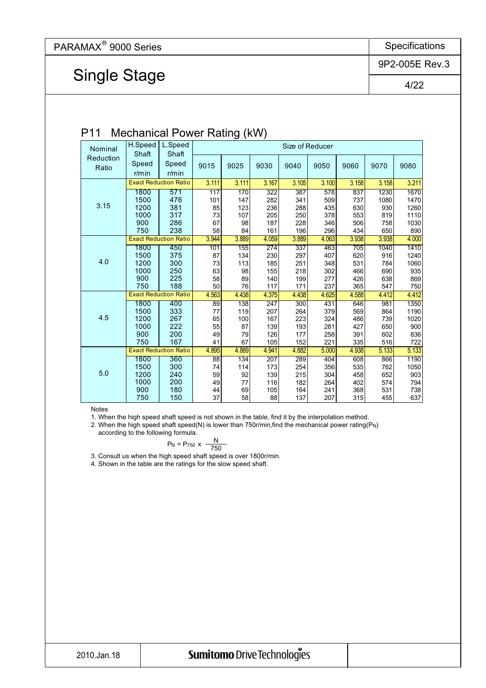9P2-005E Rev.3

## Single Stage

4/22

#### P11 Mechanical Power Rating (kW)

| Nominal   | H.Speed        | L.Speed                      |                 |       |                  |       | Size of Reducer |       |       |       |
|-----------|----------------|------------------------------|-----------------|-------|------------------|-------|-----------------|-------|-------|-------|
| Reduction | Shaft<br>Speed | Shaft<br>Speed               | 9015            | 9025  | 9030             | 9040  | 9050            | 9060  | 9070  | 9080  |
| Ratio     | $r/m$ in       | $r/m$ in                     |                 |       |                  |       |                 |       |       |       |
|           |                | <b>Exact Reduction Ratio</b> | 3.111           | 3.111 | 3.167            | 3.105 | 3.100           | 3.158 | 3.158 | 3.211 |
|           | 1800           | 571                          | 117             | 170   | $\overline{322}$ | 387   | 578             | 837   | 1230  | 1670  |
|           | 1500           | 476                          | 101             | 147   | 282              | 341   | 509             | 737   | 1080  | 1470  |
| 3.15      | 1200           | 381                          | 85              | 123   | 236              | 288   | 435             | 630   | 930   | 1260  |
|           | 1000           | 317                          | 73              | 107   | 205              | 250   | 378             | 553   | 819   | 1110  |
|           | 900            | 286                          | 67              | 98    | 187              | 228   | 346             | 506   | 758   | 1030  |
|           | 750            | 238                          | 58              | 84    | 161              | 196   | 296             | 434   | 650   | 890   |
|           |                | <b>Exact Reduction Ratio</b> | 3.944           | 3.889 | 4.059            | 3.889 | 4.063           | 3.938 | 3.938 | 4.000 |
|           | 1800           | 450                          | 101             | 155   | 274              | 337   | 463             | 705   | 1040  | 1410  |
|           | 1500           | 375                          | 87              | 134   | 230              | 297   | 407             | 620   | 916   | 1240  |
| 4.0       | 1200           | 300                          | 73              | 113   | 185              | 251   | 348             | 531   | 784   | 1060  |
|           | 1000           | 250                          | 63              | 98    | 155              | 218   | 302             | 466   | 690   | 935   |
|           | 900            | 225                          | 58              | 89    | 140              | 199   | 277             | 426   | 638   | 869   |
|           | 750            | 188                          | 50              | 76    | 117              | 171   | 237             | 365   | 547   | 750   |
|           |                | <b>Exact Reduction Ratio</b> | 4.563           | 4.438 | 4.375            | 4.438 | 4.625           | 4.588 | 4.412 | 4.412 |
|           | 1800           | 400                          | 89              | 138   | 247              | 300   | 431             | 646   | 981   | 1350  |
|           | 1500           | 333                          | 77              | 119   | 207              | 264   | 379             | 569   | 864   | 1190  |
| 4.5       | 1200           | 267                          | 65              | 100   | 167              | 223   | 324             | 486   | 739   | 1020  |
|           | 1000           | 222                          | 55              | 87    | 139              | 193   | 281             | 427   | 650   | 900   |
|           | 900            | 200                          | 49              | 79    | 126              | 177   | 258             | 391   | 602   | 836   |
|           | 750            | 167                          | 41              | 67    | 105              | 152   | 221             | 335   | 516   | 722   |
|           |                | <b>Exact Reduction Ratio</b> | 4.895           | 4.889 | 4.941            | 4.882 | 5.000           | 4.938 | 5.133 | 5.133 |
|           | 1800           | 360                          | $\overline{88}$ | 134   | 207              | 289   | 404             | 608   | 866   | 1190  |
|           | 1500           | 300                          | 74              | 114   | 173              | 254   | 356             | 535   | 762   | 1050  |
| 5.0       | 1200           | 240                          | 59              | 92    | 139              | 215   | 304             | 458   | 652   | 903   |
|           | 1000           | 200                          | 49              | 77    | 116              | 182   | 264             | 402   | 574   | 794   |
|           | 900            | 180                          | 44              | 69    | 105              | 164   | 241             | 368   | 531   | 738   |
|           | 750            | 150                          | 37              | 58    | 88               | 137   | 207             | 315   | 455   | 637   |

Notes

1. When the high speed shaft speed is not shown in the table, find it by the interpolation method.

2. When the high speed shaft speed(N) is lower than 750r/min,find the mechanical power rating(P<sub>N</sub>)

according to the following formula.  $P_N = P_{750} \times \frac{N}{750}$ 

3. Consult us when the high speed shaft speed is over 1800r/min.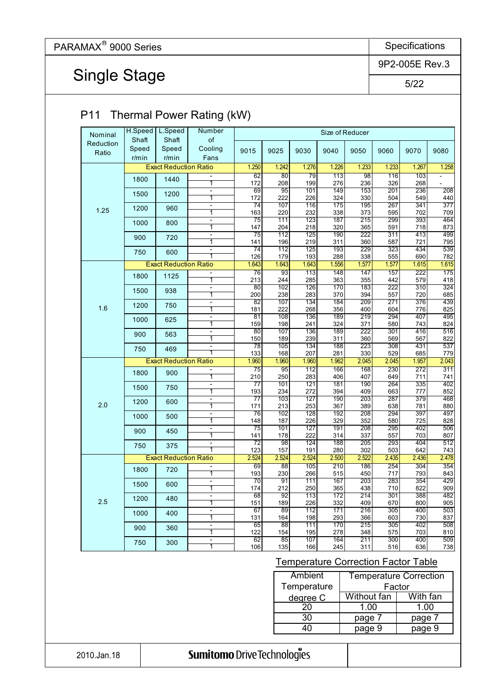## Single Stage

9P2-005E Rev.3

5/22

| Nominal            | H.Speed<br>Shaft  | L.Speed<br>Shaft             | Number<br>of                              |                        |                         |                         |                         | Size of Reducer                     |                         |                               |                         |
|--------------------|-------------------|------------------------------|-------------------------------------------|------------------------|-------------------------|-------------------------|-------------------------|-------------------------------------|-------------------------|-------------------------------|-------------------------|
| Reduction<br>Ratio | Speed<br>$r/m$ in | Speed<br>$r/m$ in            | Cooling<br>Fans                           | 9015                   | 9025                    | 9030                    | 9040                    | 9050                                | 9060                    | 9070                          | 9080                    |
|                    |                   | <b>Exact Reduction Ratio</b> |                                           | 1.250                  | 1.242                   | 1.276                   | 1.226                   | 1.233                               | 1.233                   | 1.267                         | 1.258                   |
|                    | 1800              | 1440                         | $\overline{\phantom{a}}$<br>1             | 62<br>172              | 80<br>208               | 79<br>199               | $\overline{113}$<br>276 | 98<br>236                           | 116<br>326              | 103<br>268                    | ÷                       |
|                    | 1500              | 1200                         | ÷,                                        | 69                     | 95                      | 101                     | 149                     | 153                                 | 201                     | 236                           | 208                     |
|                    |                   |                              | $\overline{1}$                            | 172<br>74              | 222<br>107              | 226<br>116              | 324<br>175              | 330<br>195                          | 504<br>267              | 549<br>341                    | 440<br>$\overline{377}$ |
| 1.25               | 1200              | 960                          | $\overline{\phantom{a}}$<br>1             | 163                    | 220                     | 232                     | 338                     | 373                                 | 595                     | 702                           | 709                     |
|                    | 1000              | 800                          | $\qquad \qquad \blacksquare$<br>1         | $\overline{75}$<br>147 | $\overline{111}$<br>204 | $\overline{123}$<br>218 | 187<br>320              | $\overline{215}$<br>365             | 299<br>591              | 393<br>718                    | 464<br>873              |
|                    | 900               | 720                          | $\qquad \qquad \blacksquare$              | 75                     | 112                     | 125                     | 190                     | 222                                 | 311                     | 413                           | 499                     |
|                    |                   |                              | 1                                         | 141                    | 196                     | 219                     | 311                     | 360                                 | 587                     | 721                           | 795                     |
|                    | 750               | 600                          | $\overline{\phantom{a}}$<br>1             | $\overline{74}$<br>126 | 112<br>179              | 125<br>193              | 193<br>288              | 229<br>338                          | 323<br>555              | 434<br>690                    | 539<br>782              |
|                    |                   | <b>Exact Reduction Ratio</b> |                                           | 1.643                  | 1.643                   | 1.643                   | 1.556                   | 1.577                               | 1.577                   | 1.615                         | 1.615                   |
|                    | 1800              | 1125                         | $\overline{\phantom{a}}$                  | 76                     | 93                      | 113                     | 148                     | 147                                 | 157                     | 222                           | 175                     |
|                    |                   |                              | 1<br>$\blacksquare$                       | 213<br>80              | 244<br>102              | 285<br>126              | 363<br>170              | 355<br>183                          | 442<br>$\overline{222}$ | 579<br>$\overline{310}$       | 418<br>324              |
|                    | 1500              | 938                          | 1                                         | 200                    | 238                     | 283                     | 370                     | 394                                 | 557                     | 720                           | 685                     |
| 1.6                | 1200              | 750                          | $\blacksquare$<br>1                       | $\overline{82}$<br>181 | 107<br>222              | 134<br>268              | 184<br>356              | 209<br>400                          | $\overline{271}$<br>604 | 376<br>776                    | 439<br>825              |
|                    | 1000              | 625                          | $\overline{\phantom{a}}$                  | 81                     | 108                     | 136                     | 189                     | 219                                 | 294                     | 407                           | 495                     |
|                    |                   |                              | 1<br>$\blacksquare$                       | 159<br>80              | 198<br>107              | 241<br>136              | 324<br>189              | 371<br>222                          | 580<br>301              | 743<br>416                    | 824                     |
|                    | 900               | 563                          | 1                                         | 150                    | 189                     | 239                     | 311                     | 360                                 | 569                     | 567                           | 516<br>822              |
|                    | 750               | 469                          | $\blacksquare$<br>1                       | 78                     | 105                     | 134                     | 188                     | 223                                 | 308                     | 431                           | 537                     |
|                    |                   | <b>Exact Reduction Ratio</b> |                                           | 133<br>1.960           | 168<br>1.960            | 207<br>1.960            | 281<br>1.962            | 330<br>2.045                        | 529<br>2.045            | 685<br>1.957                  | 779<br>2.043            |
|                    | 1800              | 900                          | $\overline{\phantom{a}}$                  | 75                     | 95                      | 112                     | 166                     | 168                                 | 230                     | 272                           | 311                     |
|                    |                   |                              | 1                                         | 210<br>$\overline{77}$ | 250                     | 283                     | 406<br>181              | 407<br>190                          | 649<br>264              | 711                           | 741<br>402              |
|                    | 1500              | 750                          | $\blacksquare$<br>$\overline{1}$          | 193                    | 101<br>234              | 121<br>272              | 394                     | 409                                 | 663                     | 335<br>777                    | 852                     |
| 2.0                | 1200              | 600                          | $\overline{\phantom{a}}$                  | $\overline{77}$        | 103                     | $\overline{127}$        | 190                     | 203                                 | 287                     | 379                           | 468                     |
|                    |                   |                              | 1<br>$\qquad \qquad \blacksquare$         | 171<br>76              | 213<br>102              | 253<br>128              | 367<br>192              | 389<br>208                          | 638<br>294              | 781<br>397                    | 880<br>497              |
|                    | 1000              | 500                          | 1                                         | 148                    | 187                     | 226                     | 329                     | 352                                 | 580                     | 725                           | 828                     |
|                    | 900               | 450                          | $\qquad \qquad \blacksquare$<br>1         | 75<br>141              | 101<br>178              | 127<br>222              | 191<br>314              | 208<br>337                          | 295<br>557              | 402<br>703                    | 506<br>807              |
|                    | 750               | 375                          | $\qquad \qquad \blacksquare$              | $\overline{72}$        | 98                      | 124                     | 188                     | 205                                 | 293                     | 404                           | 512                     |
|                    |                   |                              | 1                                         | 123                    | 157                     | 191                     | 280                     | 302                                 | 503                     | 642                           | 743                     |
|                    |                   | <b>Exact Reduction Ratio</b> |                                           | 2.524<br>69            | 2.524<br>88             | 2.524<br>105            | 2.500<br>210            | 2.522<br>186                        | 2.435<br>254            | 2.436<br>304                  | 2.478<br>354            |
|                    | 1800              | 720                          | 1                                         | 193                    | 230                     | 266                     | 515                     | 450                                 | 717                     | 793                           | 843                     |
|                    | 1500              | 600                          | $\overline{\phantom{a}}$<br>1             | 70<br>174              | 91<br>212               | 111<br>250              | 167<br>365              | 203<br>438                          | 283<br>710              | 354<br>822                    | 429<br>909              |
|                    | 1200              | 480                          | $\overline{a}$                            | 68                     | 92                      | 113                     | 172                     | 214                                 | $\overline{301}$        | 388                           | 482                     |
| 2.5                |                   |                              | 1<br>$\overline{a}$                       | 151<br>67              | 189<br>89               | 226<br>112              | 332<br>171              | 409<br>216                          | 670<br>305              | 800<br>400                    | 905<br>503              |
|                    | 1000              | 400                          | 1                                         | 131                    | 164                     | 198                     | 293                     | 366                                 | 603                     | 730                           | 837                     |
|                    | 900               | 360                          | $\overline{\phantom{0}}$                  | 65                     | 88                      | 111                     | 170                     | 215                                 | 305                     | 402                           | 508                     |
|                    |                   |                              | $\overline{\mathbf{1}}$<br>$\overline{a}$ | 122<br>62              | 154<br>85               | 195<br>107              | 278<br>164              | 348<br>211                          | 575<br>300              | 703<br>400                    | 810<br>509              |
|                    | 750               | 300                          | 1                                         | 106                    | 135                     | 166                     | 245                     | 311                                 | 516                     | 636                           | 738                     |
|                    |                   |                              |                                           |                        |                         |                         |                         | Temperature Correction Factor Table |                         |                               |                         |
|                    |                   |                              |                                           |                        |                         | <b>Ambient</b>          |                         |                                     |                         | <b>Temperature Correction</b> |                         |
|                    |                   |                              |                                           |                        |                         | Temperature             |                         |                                     | Factor                  |                               |                         |
|                    |                   |                              |                                           |                        |                         | degree C                |                         | <b>Without fan</b>                  |                         | With fan                      |                         |
|                    |                   |                              |                                           |                        |                         | $\overline{20}$         |                         | 1.00                                |                         | 1.00                          |                         |
|                    |                   |                              |                                           |                        |                         | 30                      |                         | page 7                              |                         | page 7                        |                         |
|                    |                   |                              |                                           |                        |                         | 40                      |                         | page 9                              |                         | page 9                        |                         |

#### 2010.Jan.18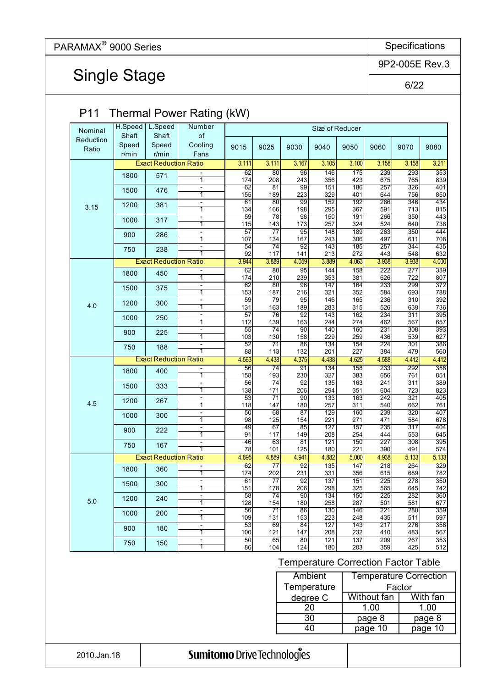Single Stage

9P2-005E Rev.3

6/22

|                   | L.Speed                                                                                   | Number                                                                                               |                                                                                                                                                                                                                                                                                                                                                                          |                                                                                                                                                                                                                                                                                            |                                                                                                                                                                                                                           |                                                                                                                                                                                                                                 |                                                                                                                                                                                                                                                                  |                                                                                                                                                                                                |                                                                                                                                                                                                  |                                                                                                                                                                                                                                                                                                        |
|-------------------|-------------------------------------------------------------------------------------------|------------------------------------------------------------------------------------------------------|--------------------------------------------------------------------------------------------------------------------------------------------------------------------------------------------------------------------------------------------------------------------------------------------------------------------------------------------------------------------------|--------------------------------------------------------------------------------------------------------------------------------------------------------------------------------------------------------------------------------------------------------------------------------------------|---------------------------------------------------------------------------------------------------------------------------------------------------------------------------------------------------------------------------|---------------------------------------------------------------------------------------------------------------------------------------------------------------------------------------------------------------------------------|------------------------------------------------------------------------------------------------------------------------------------------------------------------------------------------------------------------------------------------------------------------|------------------------------------------------------------------------------------------------------------------------------------------------------------------------------------------------|--------------------------------------------------------------------------------------------------------------------------------------------------------------------------------------------------|--------------------------------------------------------------------------------------------------------------------------------------------------------------------------------------------------------------------------------------------------------------------------------------------------------|
| Speed<br>$r/m$ in | Speed<br>$r/m$ in                                                                         | Cooling<br>Fans                                                                                      | 9015                                                                                                                                                                                                                                                                                                                                                                     | 9025                                                                                                                                                                                                                                                                                       | 9030                                                                                                                                                                                                                      | 9040                                                                                                                                                                                                                            | 9050                                                                                                                                                                                                                                                             | 9060                                                                                                                                                                                           | 9070                                                                                                                                                                                             | 9080                                                                                                                                                                                                                                                                                                   |
|                   |                                                                                           |                                                                                                      | 3.111                                                                                                                                                                                                                                                                                                                                                                    | 3.111                                                                                                                                                                                                                                                                                      | 3.167                                                                                                                                                                                                                     | 3.105                                                                                                                                                                                                                           | 3.100                                                                                                                                                                                                                                                            | 3.158                                                                                                                                                                                          | 3.158                                                                                                                                                                                            | 3.211                                                                                                                                                                                                                                                                                                  |
| 1800              | 571                                                                                       | 1                                                                                                    |                                                                                                                                                                                                                                                                                                                                                                          |                                                                                                                                                                                                                                                                                            |                                                                                                                                                                                                                           |                                                                                                                                                                                                                                 |                                                                                                                                                                                                                                                                  |                                                                                                                                                                                                |                                                                                                                                                                                                  | 353<br>839                                                                                                                                                                                                                                                                                             |
| 1500              | 476                                                                                       | ÷,                                                                                                   | $\overline{62}$                                                                                                                                                                                                                                                                                                                                                          | 81                                                                                                                                                                                                                                                                                         | 99                                                                                                                                                                                                                        | 151                                                                                                                                                                                                                             | 186                                                                                                                                                                                                                                                              | $\overline{257}$                                                                                                                                                                               | 326                                                                                                                                                                                              | 401<br>850                                                                                                                                                                                                                                                                                             |
|                   |                                                                                           | $\blacksquare$                                                                                       | 61                                                                                                                                                                                                                                                                                                                                                                       | 80                                                                                                                                                                                                                                                                                         | 99                                                                                                                                                                                                                        | 152                                                                                                                                                                                                                             | 192                                                                                                                                                                                                                                                              | 266                                                                                                                                                                                            | 346                                                                                                                                                                                              | 434                                                                                                                                                                                                                                                                                                    |
|                   |                                                                                           | $\overline{\phantom{a}}$                                                                             |                                                                                                                                                                                                                                                                                                                                                                          | 78                                                                                                                                                                                                                                                                                         | 98                                                                                                                                                                                                                        |                                                                                                                                                                                                                                 |                                                                                                                                                                                                                                                                  |                                                                                                                                                                                                |                                                                                                                                                                                                  | 815<br>443                                                                                                                                                                                                                                                                                             |
|                   |                                                                                           | 1                                                                                                    | 115                                                                                                                                                                                                                                                                                                                                                                      | 143                                                                                                                                                                                                                                                                                        | 173                                                                                                                                                                                                                       | 257                                                                                                                                                                                                                             | 324                                                                                                                                                                                                                                                              | 524                                                                                                                                                                                            | 640                                                                                                                                                                                              | 738<br>444                                                                                                                                                                                                                                                                                             |
|                   |                                                                                           | 1                                                                                                    | 107                                                                                                                                                                                                                                                                                                                                                                      | 134                                                                                                                                                                                                                                                                                        | 167                                                                                                                                                                                                                       | 243                                                                                                                                                                                                                             | 306                                                                                                                                                                                                                                                              | 497                                                                                                                                                                                            | 611                                                                                                                                                                                              | 708                                                                                                                                                                                                                                                                                                    |
| 750               | 238                                                                                       | $\overline{\phantom{0}}$<br>ī                                                                        | 92                                                                                                                                                                                                                                                                                                                                                                       | 117                                                                                                                                                                                                                                                                                        |                                                                                                                                                                                                                           |                                                                                                                                                                                                                                 | 272                                                                                                                                                                                                                                                              | 443                                                                                                                                                                                            | 548                                                                                                                                                                                              | 435<br>632                                                                                                                                                                                                                                                                                             |
|                   |                                                                                           |                                                                                                      | 3.944                                                                                                                                                                                                                                                                                                                                                                    | 3.889                                                                                                                                                                                                                                                                                      | 4.059                                                                                                                                                                                                                     | 3.889                                                                                                                                                                                                                           | 4.063                                                                                                                                                                                                                                                            | 3.938                                                                                                                                                                                          | 3.938                                                                                                                                                                                            | 4.000                                                                                                                                                                                                                                                                                                  |
| 1800              | 450                                                                                       | $\overline{1}$                                                                                       | 174                                                                                                                                                                                                                                                                                                                                                                      |                                                                                                                                                                                                                                                                                            |                                                                                                                                                                                                                           |                                                                                                                                                                                                                                 | 381                                                                                                                                                                                                                                                              | 626                                                                                                                                                                                            | 722                                                                                                                                                                                              | 339<br>807                                                                                                                                                                                                                                                                                             |
| 1500              | 375                                                                                       | $\overline{\phantom{0}}$                                                                             | 62                                                                                                                                                                                                                                                                                                                                                                       | 80                                                                                                                                                                                                                                                                                         | 96                                                                                                                                                                                                                        | 147                                                                                                                                                                                                                             | 164                                                                                                                                                                                                                                                              | 233                                                                                                                                                                                            | 299                                                                                                                                                                                              | 372<br>788                                                                                                                                                                                                                                                                                             |
|                   |                                                                                           | $\overline{\phantom{0}}$                                                                             | 59                                                                                                                                                                                                                                                                                                                                                                       | 79                                                                                                                                                                                                                                                                                         | 95                                                                                                                                                                                                                        | 146                                                                                                                                                                                                                             | 165                                                                                                                                                                                                                                                              | 236                                                                                                                                                                                            | 310                                                                                                                                                                                              | 392                                                                                                                                                                                                                                                                                                    |
|                   |                                                                                           | ÷,                                                                                                   |                                                                                                                                                                                                                                                                                                                                                                          |                                                                                                                                                                                                                                                                                            |                                                                                                                                                                                                                           |                                                                                                                                                                                                                                 |                                                                                                                                                                                                                                                                  |                                                                                                                                                                                                |                                                                                                                                                                                                  | 736<br>395                                                                                                                                                                                                                                                                                             |
|                   |                                                                                           | $\overline{1}$                                                                                       | 112                                                                                                                                                                                                                                                                                                                                                                      | 139                                                                                                                                                                                                                                                                                        | 163                                                                                                                                                                                                                       | 244                                                                                                                                                                                                                             | 274                                                                                                                                                                                                                                                              | 462                                                                                                                                                                                            | 567                                                                                                                                                                                              | 657                                                                                                                                                                                                                                                                                                    |
|                   |                                                                                           | $\overline{1}$                                                                                       | 103                                                                                                                                                                                                                                                                                                                                                                      | 130                                                                                                                                                                                                                                                                                        | 158                                                                                                                                                                                                                       | 229                                                                                                                                                                                                                             | 259                                                                                                                                                                                                                                                              | 436                                                                                                                                                                                            | 539                                                                                                                                                                                              | 393<br>627                                                                                                                                                                                                                                                                                             |
| 750               | 188                                                                                       | $\overline{\phantom{a}}$<br>T                                                                        |                                                                                                                                                                                                                                                                                                                                                                          | $\overline{71}$                                                                                                                                                                                                                                                                            |                                                                                                                                                                                                                           |                                                                                                                                                                                                                                 | 154                                                                                                                                                                                                                                                              |                                                                                                                                                                                                |                                                                                                                                                                                                  | 386<br>560                                                                                                                                                                                                                                                                                             |
|                   |                                                                                           |                                                                                                      | 4.563                                                                                                                                                                                                                                                                                                                                                                    | 4.438                                                                                                                                                                                                                                                                                      | 4.375                                                                                                                                                                                                                     | 4.438                                                                                                                                                                                                                           | 4.625                                                                                                                                                                                                                                                            | 4.588                                                                                                                                                                                          | 4.412                                                                                                                                                                                            | 4.412                                                                                                                                                                                                                                                                                                  |
| 1800              | 400                                                                                       | ī                                                                                                    |                                                                                                                                                                                                                                                                                                                                                                          |                                                                                                                                                                                                                                                                                            |                                                                                                                                                                                                                           |                                                                                                                                                                                                                                 |                                                                                                                                                                                                                                                                  |                                                                                                                                                                                                |                                                                                                                                                                                                  | 358<br>851                                                                                                                                                                                                                                                                                             |
| 1500              | 333                                                                                       | $\overline{\phantom{0}}$                                                                             | 56                                                                                                                                                                                                                                                                                                                                                                       | 74                                                                                                                                                                                                                                                                                         | 92                                                                                                                                                                                                                        | 135                                                                                                                                                                                                                             | 163                                                                                                                                                                                                                                                              | 241                                                                                                                                                                                            | 311                                                                                                                                                                                              | 389<br>823                                                                                                                                                                                                                                                                                             |
|                   |                                                                                           | $\overline{\phantom{0}}$                                                                             | $\overline{53}$                                                                                                                                                                                                                                                                                                                                                          | $\overline{71}$                                                                                                                                                                                                                                                                            | 90                                                                                                                                                                                                                        | 133                                                                                                                                                                                                                             | 163                                                                                                                                                                                                                                                              | $\overline{242}$                                                                                                                                                                               | $\overline{321}$                                                                                                                                                                                 | 405                                                                                                                                                                                                                                                                                                    |
|                   |                                                                                           | $\overline{\phantom{0}}$                                                                             | 50                                                                                                                                                                                                                                                                                                                                                                       | 68                                                                                                                                                                                                                                                                                         | 87                                                                                                                                                                                                                        | 129                                                                                                                                                                                                                             | 160                                                                                                                                                                                                                                                              | 239                                                                                                                                                                                            | $\overline{320}$                                                                                                                                                                                 | 761<br>407                                                                                                                                                                                                                                                                                             |
|                   |                                                                                           | ī                                                                                                    | 98                                                                                                                                                                                                                                                                                                                                                                       | 125                                                                                                                                                                                                                                                                                        | 154                                                                                                                                                                                                                       | 221                                                                                                                                                                                                                             | 271                                                                                                                                                                                                                                                              | 471                                                                                                                                                                                            | 584                                                                                                                                                                                              | 678<br>404                                                                                                                                                                                                                                                                                             |
|                   |                                                                                           | $\overline{\mathbb{1}}$                                                                              | 91                                                                                                                                                                                                                                                                                                                                                                       | 117                                                                                                                                                                                                                                                                                        | 149                                                                                                                                                                                                                       | 208                                                                                                                                                                                                                             | 254                                                                                                                                                                                                                                                              | 444                                                                                                                                                                                            | 553                                                                                                                                                                                              | 645                                                                                                                                                                                                                                                                                                    |
| 750               | 167                                                                                       | ī                                                                                                    | 78                                                                                                                                                                                                                                                                                                                                                                       | 101                                                                                                                                                                                                                                                                                        | 125                                                                                                                                                                                                                       | 180                                                                                                                                                                                                                             | 221                                                                                                                                                                                                                                                              | 390                                                                                                                                                                                            | 491                                                                                                                                                                                              | 395<br>574                                                                                                                                                                                                                                                                                             |
|                   |                                                                                           |                                                                                                      | 4.895                                                                                                                                                                                                                                                                                                                                                                    | 4.889                                                                                                                                                                                                                                                                                      | 4.941                                                                                                                                                                                                                     | 4.882                                                                                                                                                                                                                           | 5.000                                                                                                                                                                                                                                                            | 4.938                                                                                                                                                                                          | 5.133                                                                                                                                                                                            | 5.133                                                                                                                                                                                                                                                                                                  |
| 1800              | 360                                                                                       | 1                                                                                                    | 174                                                                                                                                                                                                                                                                                                                                                                      | 202                                                                                                                                                                                                                                                                                        | 231                                                                                                                                                                                                                       | 331                                                                                                                                                                                                                             | 356                                                                                                                                                                                                                                                              | 615                                                                                                                                                                                            | 689                                                                                                                                                                                              | 329<br>782                                                                                                                                                                                                                                                                                             |
| 1500              | 300                                                                                       | ٠                                                                                                    |                                                                                                                                                                                                                                                                                                                                                                          | $\overline{77}$                                                                                                                                                                                                                                                                            |                                                                                                                                                                                                                           |                                                                                                                                                                                                                                 |                                                                                                                                                                                                                                                                  | $\overline{225}$                                                                                                                                                                               |                                                                                                                                                                                                  | 350<br>742                                                                                                                                                                                                                                                                                             |
| 1200              |                                                                                           | $\overline{\phantom{0}}$                                                                             | $\overline{58}$                                                                                                                                                                                                                                                                                                                                                          | $\overline{74}$                                                                                                                                                                                                                                                                            | $\overline{90}$                                                                                                                                                                                                           | 134                                                                                                                                                                                                                             | 150                                                                                                                                                                                                                                                              | $\overline{225}$                                                                                                                                                                               | 282                                                                                                                                                                                              | 360                                                                                                                                                                                                                                                                                                    |
|                   |                                                                                           | $\overline{\phantom{0}}$                                                                             | 56                                                                                                                                                                                                                                                                                                                                                                       | $\overline{71}$                                                                                                                                                                                                                                                                            | 86                                                                                                                                                                                                                        | 130                                                                                                                                                                                                                             | 146                                                                                                                                                                                                                                                              | 221                                                                                                                                                                                            | 280                                                                                                                                                                                              | 677<br>359                                                                                                                                                                                                                                                                                             |
|                   |                                                                                           |                                                                                                      | 109                                                                                                                                                                                                                                                                                                                                                                      | 131                                                                                                                                                                                                                                                                                        | 153                                                                                                                                                                                                                       | 223                                                                                                                                                                                                                             | 248                                                                                                                                                                                                                                                              | 435                                                                                                                                                                                            | 511                                                                                                                                                                                              | 597<br>356                                                                                                                                                                                                                                                                                             |
|                   |                                                                                           | 1                                                                                                    | 100                                                                                                                                                                                                                                                                                                                                                                      | 121                                                                                                                                                                                                                                                                                        | 147                                                                                                                                                                                                                       | 208                                                                                                                                                                                                                             | 232                                                                                                                                                                                                                                                              | 410                                                                                                                                                                                            | 483                                                                                                                                                                                              | 567                                                                                                                                                                                                                                                                                                    |
| 750               | 150                                                                                       | $\overline{1}$                                                                                       | 86                                                                                                                                                                                                                                                                                                                                                                       | 104                                                                                                                                                                                                                                                                                        | 124                                                                                                                                                                                                                       | 180                                                                                                                                                                                                                             | 203                                                                                                                                                                                                                                                              | 359                                                                                                                                                                                            | 425                                                                                                                                                                                              | $\overline{353}$<br>512                                                                                                                                                                                                                                                                                |
|                   |                                                                                           |                                                                                                      |                                                                                                                                                                                                                                                                                                                                                                          |                                                                                                                                                                                                                                                                                            |                                                                                                                                                                                                                           |                                                                                                                                                                                                                                 |                                                                                                                                                                                                                                                                  |                                                                                                                                                                                                |                                                                                                                                                                                                  |                                                                                                                                                                                                                                                                                                        |
|                   |                                                                                           |                                                                                                      |                                                                                                                                                                                                                                                                                                                                                                          |                                                                                                                                                                                                                                                                                            |                                                                                                                                                                                                                           |                                                                                                                                                                                                                                 |                                                                                                                                                                                                                                                                  |                                                                                                                                                                                                |                                                                                                                                                                                                  |                                                                                                                                                                                                                                                                                                        |
|                   |                                                                                           |                                                                                                      |                                                                                                                                                                                                                                                                                                                                                                          |                                                                                                                                                                                                                                                                                            |                                                                                                                                                                                                                           |                                                                                                                                                                                                                                 |                                                                                                                                                                                                                                                                  |                                                                                                                                                                                                |                                                                                                                                                                                                  |                                                                                                                                                                                                                                                                                                        |
|                   |                                                                                           |                                                                                                      |                                                                                                                                                                                                                                                                                                                                                                          |                                                                                                                                                                                                                                                                                            |                                                                                                                                                                                                                           |                                                                                                                                                                                                                                 |                                                                                                                                                                                                                                                                  |                                                                                                                                                                                                |                                                                                                                                                                                                  | With fan                                                                                                                                                                                                                                                                                               |
|                   |                                                                                           |                                                                                                      |                                                                                                                                                                                                                                                                                                                                                                          |                                                                                                                                                                                                                                                                                            |                                                                                                                                                                                                                           |                                                                                                                                                                                                                                 |                                                                                                                                                                                                                                                                  |                                                                                                                                                                                                |                                                                                                                                                                                                  | 1.00                                                                                                                                                                                                                                                                                                   |
|                   |                                                                                           |                                                                                                      |                                                                                                                                                                                                                                                                                                                                                                          |                                                                                                                                                                                                                                                                                            |                                                                                                                                                                                                                           |                                                                                                                                                                                                                                 |                                                                                                                                                                                                                                                                  |                                                                                                                                                                                                |                                                                                                                                                                                                  |                                                                                                                                                                                                                                                                                                        |
|                   |                                                                                           |                                                                                                      |                                                                                                                                                                                                                                                                                                                                                                          |                                                                                                                                                                                                                                                                                            |                                                                                                                                                                                                                           | 30<br>40                                                                                                                                                                                                                        |                                                                                                                                                                                                                                                                  | page 8<br>page 10                                                                                                                                                                              |                                                                                                                                                                                                  | page 8<br>page 10                                                                                                                                                                                                                                                                                      |
|                   | Shaft<br>1200<br>1000<br>900<br>1200<br>1000<br>900<br>1200<br>1000<br>900<br>1000<br>900 | H.Speed<br>Shaft<br>381<br>317<br>286<br>300<br>250<br>225<br>267<br>300<br>222<br>240<br>200<br>180 | of<br><b>Exact Reduction Ratio</b><br>$\overline{1}$<br>ī<br>$\overline{\phantom{0}}$<br><b>Exact Reduction Ratio</b><br>ī<br>1<br>÷,<br><b>Exact Reduction Ratio</b><br>T<br>$\overline{1}$<br>$\overline{\phantom{0}}$<br>$\overline{\phantom{0}}$<br><b>Exact Reduction Ratio</b><br>$\overline{1}$<br>ī<br>T<br>$\overline{\phantom{0}}$<br>$\overline{\phantom{0}}$ | Thermal Power Rating (kW)<br>62<br>174<br>155<br>134<br>59<br>$\overline{57}$<br>$\overline{54}$<br>62<br>153<br>131<br>$\overline{57}$<br>$\overline{55}$<br>52<br>88<br>56<br>158<br>138<br>118<br>49<br>46<br>62<br>$\overline{61}$<br>151<br>128<br>$\overline{53}$<br>$\overline{50}$ | 80<br>208<br>189<br>166<br>77<br>$\overline{74}$<br>80<br>210<br>187<br>163<br>$\overline{76}$<br>$\overline{74}$<br>113<br>$\overline{74}$<br>193<br>171<br>147<br>67<br>63<br>$\overline{77}$<br>178<br>154<br>69<br>65 | 96<br>243<br>223<br>198<br>$\overline{95}$<br>$\overline{92}$<br>141<br>95<br>239<br>216<br>189<br>$\overline{92}$<br>90<br>86<br>132<br>91<br>230<br>206<br>180<br>85<br>81<br>92<br>$\overline{92}$<br>206<br>180<br>84<br>80 | 146<br>356<br>329<br>295<br>150<br>148<br>143<br>213<br>144<br>353<br>321<br>283<br>143<br>140<br>134<br>201<br>134<br>327<br>294<br>257<br>127<br>121<br>135<br>137<br>298<br>258<br>127<br>121<br><b>Ambient</b><br>Temperature<br>degree C<br>$\overline{20}$ | Size of Reducer<br>175<br>423<br>401<br>367<br>191<br>189<br>185<br>158<br>352<br>315<br>162<br>160<br>227<br>158<br>383<br>351<br>311<br>157<br>150<br>147<br>151<br>325<br>287<br>143<br>137 | 239<br>675<br>644<br>591<br>266<br>263<br>257<br>222<br>584<br>526<br>234<br>231<br>224<br>384<br>233<br>656<br>604<br>540<br>235<br>$\overline{227}$<br>218<br>565<br>501<br>217<br>209<br>1.00 | 293<br>765<br>756<br>713<br>350<br>350<br>344<br>277<br>693<br>639<br>311<br>$\frac{1}{308}$<br>301<br>479<br>292<br>761<br>723<br>662<br>317<br>308<br>264<br>278<br>645<br>581<br>276<br>267<br>Temperature Correction Factor Table<br><b>Temperature Correction</b><br>Factor<br><b>Without fan</b> |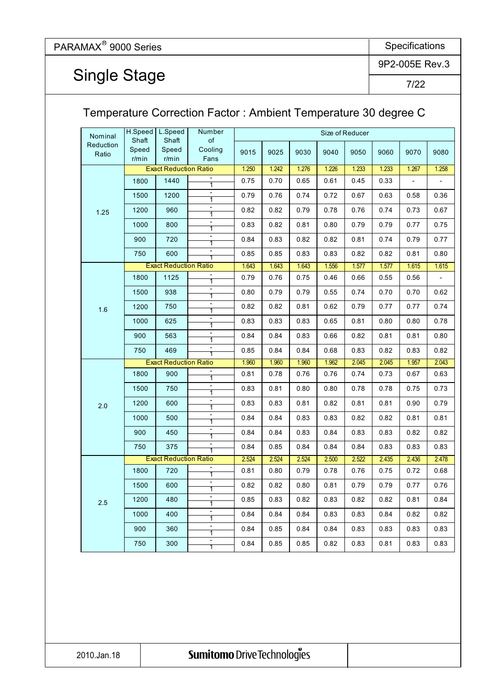Single Stage

9P2-005E Rev.3

7/22

|                    |                   |                              |                                            | Temperature Correction Factor: Ambient Temperature 30 degree C |       |       |       |                 |       |                |       |
|--------------------|-------------------|------------------------------|--------------------------------------------|----------------------------------------------------------------|-------|-------|-------|-----------------|-------|----------------|-------|
| Nominal            | H.Speed<br>Shaft  | L.Speed<br>Shaft             | Number                                     |                                                                |       |       |       | Size of Reducer |       |                |       |
| Reduction<br>Ratio | Speed<br>$r/m$ in | Speed<br>$r/m$ in            | of<br>Cooling<br>Fans                      | 9015                                                           | 9025  | 9030  | 9040  | 9050            | 9060  | 9070           | 9080  |
|                    |                   | <b>Exact Reduction Ratio</b> |                                            | 1.250                                                          | 1.242 | 1.276 | 1.226 | 1.233           | 1.233 | 1.267          | 1.258 |
|                    | 1800              | 1440                         | $\overline{1}$                             | 0.75                                                           | 0.70  | 0.65  | 0.61  | 0.45            | 0.33  | $\blacksquare$ |       |
|                    | 1500              | 1200                         | 1                                          | 0.79                                                           | 0.76  | 0.74  | 0.72  | 0.67            | 0.63  | 0.58           | 0.36  |
| 1.25               | 1200              | 960                          | 1                                          | 0.82                                                           | 0.82  | 0.79  | 0.78  | 0.76            | 0.74  | 0.73           | 0.67  |
|                    | 1000              | 800                          | 1                                          | 0.83                                                           | 0.82  | 0.81  | 0.80  | 0.79            | 0.79  | 0.77           | 0.75  |
|                    | 900               | 720                          | 1                                          | 0.84                                                           | 0.83  | 0.82  | 0.82  | 0.81            | 0.74  | 0.79           | 0.77  |
|                    | 750               | 600                          |                                            | 0.85                                                           | 0.85  | 0.83  | 0.83  | 0.82            | 0.82  | 0.81           | 0.80  |
|                    |                   | <b>Exact Reduction Ratio</b> |                                            | 1.643                                                          | 1.643 | 1.643 | 1.556 | 1.577           | 1.577 | 1.615          | 1.615 |
|                    | 1800              | 1125                         | 1                                          | 0.79                                                           | 0.76  | 0.75  | 0.46  | 0.66            | 0.55  | 0.56           |       |
|                    | 1500              | 938                          |                                            | 0.80                                                           | 0.79  | 0.79  | 0.55  | 0.74            | 0.70  | 0.70           | 0.62  |
| 1.6                | 1200              | 750                          | $\overline{\phantom{a}}$<br>1              | 0.82                                                           | 0.82  | 0.81  | 0.62  | 0.79            | 0.77  | 0.77           | 0.74  |
|                    | 1000              | 625                          | $\overline{\phantom{a}}$<br>$\overline{1}$ | 0.83                                                           | 0.83  | 0.83  | 0.65  | 0.81            | 0.80  | 0.80           | 0.78  |
|                    | 900               | 563                          | $\overline{\phantom{a}}$<br>1              | 0.84                                                           | 0.84  | 0.83  | 0.66  | 0.82            | 0.81  | 0.81           | 0.80  |
|                    | 750               | 469                          | 1                                          | 0.85                                                           | 0.84  | 0.84  | 0.68  | 0.83            | 0.82  | 0.83           | 0.82  |
|                    |                   | <b>Exact Reduction Ratio</b> |                                            | 1.960                                                          | 1.960 | 1.960 | 1.962 | 2.045           | 2.045 | 1.957          | 2.043 |
|                    | 1800              | 900                          | $\overline{1}$                             | 0.81                                                           | 0.78  | 0.76  | 0.76  | 0.74            | 0.73  | 0.67           | 0.63  |
|                    | 1500              | 750                          | $\overline{\phantom{0}}$<br>1              | 0.83                                                           | 0.81  | 0.80  | 0.80  | 0.78            | 0.78  | 0.75           | 0.73  |
| 2.0                | 1200              | 600                          | $\overline{\phantom{a}}$<br>1              | 0.83                                                           | 0.83  | 0.81  | 0.82  | 0.81            | 0.81  | 0.90           | 0.79  |
|                    | 1000              | 500                          | $\overline{\phantom{a}}$<br>1              | 0.84                                                           | 0.84  | 0.83  | 0.83  | 0.82            | 0.82  | 0.81           | 0.81  |
|                    | 900               | 450                          | $\qquad \qquad \blacksquare$<br>1          | 0.84                                                           | 0.84  | 0.83  | 0.84  | 0.83            | 0.83  | 0.82           | 0.82  |
|                    | 750               | 375                          | $\overline{\phantom{a}}$                   | 0.84                                                           | 0.85  | 0.84  | 0.84  | 0.84            | 0.83  | 0.83           | 0.83  |
|                    |                   | <b>Exact Reduction Ratio</b> |                                            | 2.524                                                          | 2.524 | 2.524 | 2.500 | 2.522           | 2.435 | 2.436          | 2.478 |
|                    | 1800              | 720                          | 1                                          | 0.81                                                           | 0.80  | 0.79  | 0.78  | 0.76            | 0.75  | 0.72           | 0.68  |
|                    | 1500              | 600                          | $\blacksquare$<br>1                        | 0.82                                                           | 0.82  | 0.80  | 0.81  | 0.79            | 0.79  | 0.77           | 0.76  |
| 2.5                | 1200              | 480                          | $\overline{\phantom{a}}$<br>$\overline{1}$ | 0.85                                                           | 0.83  | 0.82  | 0.83  | 0.82            | 0.82  | 0.81           | 0.84  |
|                    | 1000              | 400                          | $\overline{\phantom{a}}$<br>$\overline{1}$ | 0.84                                                           | 0.84  | 0.84  | 0.83  | 0.83            | 0.84  | 0.82           | 0.82  |
|                    | 900               | 360                          | $\overline{\phantom{a}}$<br>1              | 0.84                                                           | 0.85  | 0.84  | 0.84  | 0.83            | 0.83  | 0.83           | 0.83  |
|                    | 750               | 300                          | 1                                          | 0.84                                                           | 0.85  | 0.85  | 0.82  | 0.83            | 0.81  | 0.83           | 0.83  |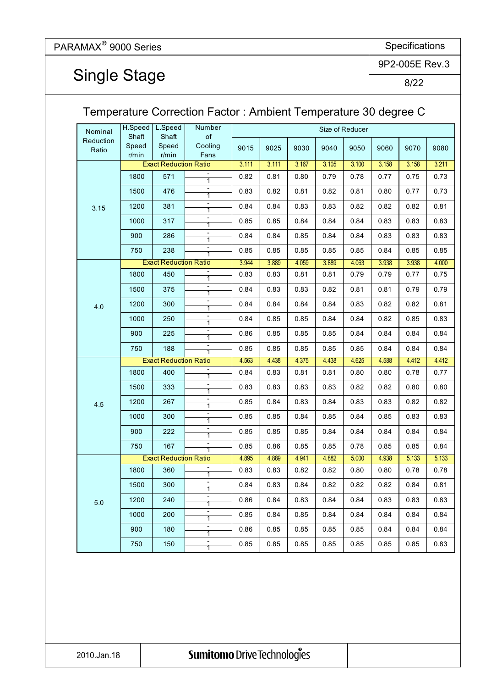Single Stage

9P2-005E Rev.3

#### 8/22

#### Temperature Correction Factor : Ambient Temperature 30 degree C 9015 | 9025 | 9030 | 9040 | 9050 | 9060 | 9070 | 9080 3.111 3.111 3.167 3.105 3.100 3.158 3.158 3.211 - 1 - 1 - 1 - 1 - 1 - 1 3.944 3.889 4.059 3.889 4.063 3.938 3.938 4.000 - 1 - 1 - 1 - 1 - 1 - 1 4.563 4.438 4.375 4.438 4.625 4.588 4.412 4.412 - 1 - 1 - 1 - 1 - 1 - 1 4.895 4.889 4.941 4.882 5.000 4.938 5.133 5.133 - 1 - 1 - 1 - 1 - 1 - 1 H.Speed **Shaft** Speed r/min L.Speed **Shaft** Speed r/min 300 1000 317 900 286 Number Size of Reducer of Cooling Fans 571 476 0.82 0.81 0.80 0.79 0.78 0.77 0.75 3.15 1800 1500 1200 750 Exact Reduction Ratio 381 Nominal Reduction Ratio 4.0 Exact Reduction Ratio 1800 450 1500 375 1200 750 188 4.5 Exact Reduction Ratio 1800 400 1500 333 1200 267 1000  $750$  150 300 900 222 750 167 900 180 5.0 Exact Reduction Ratio 1800 360 1500 300 1200 240 1000 200 1000 238 250 900 225 0.73 0.83 0.82 0.81 0.82 0.81 0.80 0.77 0.73 0.79 0.84 0.84 0.83 0.83 0.82 0.82 0.82 0.81 0.85 0.85 0.84 0.84 0.84 0.83 0.83 0.83 0.84 0.84 0.85 0.84 0.84 0.83 0.83 0.83 0.85 0.85 0.85 0.85 0.85 0.84 0.85 0.85 0.83 0.83 0.81 0.81 0.79 0.79 0.77 0.75 0.84 0.83 0.83 0.82 0.81 0.81 0.79 0.79 0.84 0.84 0.84 0.84 0.83 0.82 0.82 0.81 0.84 0.85 0.85 0.84 0.84 0.82 0.85 0.83 0.86 0.85 0.85 0.85 0.84 0.84 0.84 0.84 0.85 0.85 0.85 0.85 0.85 0.84 0.84 0.84 0.84 0.83 0.81 0.81 0.80 0.80 0.78 0.77 0.83 0.83 0.83 0.83 0.82 0.82 0.80 0.80 0.85 0.84 0.83 0.84 0.83 0.83 0.82 0.82 0.85 0.85 0.84 0.85 0.84 0.85 0.83 0.83 0.85 0.85 0.85 0.84 0.84 0.84 0.84 0.84 0.85 0.86 0.85 0.85 0.78 0.85 0.85 0.84 0.83 0.83 0.82 0.82 0.80 0.80 0.78 0.78 0.84 0.83 0.84 0.82 0.82 0.82 0.84 0.81 0.86 0.84 0.83 0.84 0.84 0.83 0.83 0.83 0.85 0.84 0.85 0.84 0.84 0.84 0.84 0.84 0.86 0.85 0.85 0.85 0.85 0.84 0.84 0.84 0.85 0.85 0.85 0.85 0.85 0.85 0.85 0.83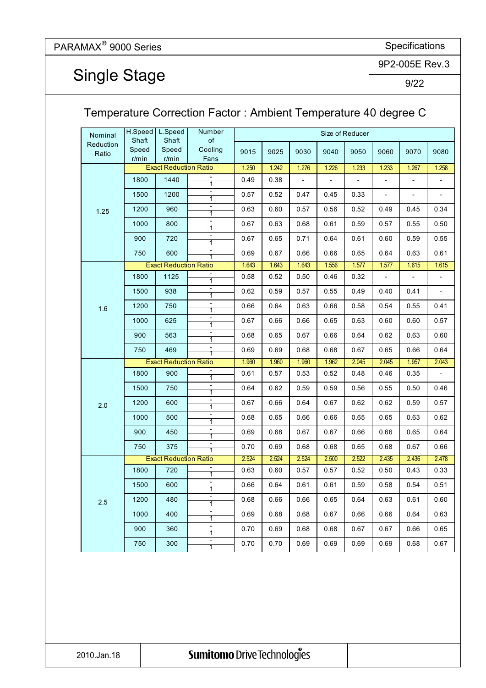## Single Stage

9P2-005E Rev.3

9/22

#### Temperature Correction Factor : Ambient Temperature 40 degree C 9015 | 9025 | 9030 | 9040 | 9050 | 9060 | 9070 | 9080 1.250 1.242 1.276 1.226 1.233 1.233 1.267 1.258 - 1 - 1 - 1 - 1 - 1 - 1 1.643 1.643 1.643 1.556 1.577 1.577 1.615 1.615 - 1 - 1 - 1 - 1 - 1 - 1 1.960 1.960 1.960 1.962 2.045 2.045 1.957 2.043 - 1 - 1 - 1 - 1 - 1 - 1 2.524 2.524 2.524 2.500 2.522 2.435 2.436 2.478 - 1 - 1 - 1 - 1 - 1 -  $\frac{1}{1}$  0.70 | 0.70 | 0.69 | 0.69 | 0.69 | 0.69 | 0.68 | 0.67 0.70 0.69 0.68 0.68 0.67 0.67 0.66 0.65 0.69 0.68 0.68 0.67 0.66 0.66 0.64 0.63 0.68 0.66 0.66 0.65 0.64 0.63 0.61 0.60 0.66 0.64 0.61 0.61 0.59 0.58 0.54 0.51 0.63 0.60 0.57 0.57 0.52 0.50 0.43 0.33 0.70 0.69 0.68 0.68 0.65 0.68 0.67 0.66 0.69 0.68 0.67 0.67 0.66 0.66 0.65 0.64 0.68 0.65 0.66 0.66 0.65 0.65 0.63 0.62 0.67 0.66 0.64 0.67 0.62 0.62 0.59 0.57 0.64 0.62 0.59 0.59 0.56 0.55 0.50 0.46 0.61 | 0.57 | 0.53 | 0.52 | 0.48 | 0.46 | 0.35 | -0.69 0.69 0.68 0.68 0.67 0.65 0.66 0.64 0.68 0.65 0.67 0.66 0.64 0.62 0.63 0.60 0.67 0.66 0.66 0.65 0.63 0.60 0.60 0.57 0.66 0.64 0.63 0.66 0.58 0.54 0.55 0.41 0.62 | 0.59 | 0.57 | 0.55 | 0.49 | 0.40 | 0.41 | -0.58 | 0.52 | 0.50 | 0.46 | 0.32 | - | - | -0.69 0.67 0.66 0.66 0.65 0.64 0.63 0.61 0.67 0.65 0.71 0.64 0.61 0.60 0.59 0.55 0.34 0.67 0.63 0.68 0.61 0.59 0.57 0.55 0.50 - - - 0.63 0.60 0.57 0.56 0.52 0.49 0.45 625 900 563 -  $0.57$  |  $0.52$  |  $0.47$  |  $0.45$  |  $0.33$  | -H.Speed **Shaft** Speed r/min L.Speed Shaft Speed r/min 750 1000 | 800 900 720 600 Exact Reduction Ratio 960 Number | Size of Reducer of Cooling Fans 1440 1200 0.49 | 0.38 | - | - | - | - | -1.25 1800 1500 1200 750 Nominal Reduction Ratio 1.6 Exact Reduction Ratio 1800 1125 1500 938 1200 750 469 1000 2.0 Exact Reduction Ratio 1800 900 1500 750 1200 600 1000 500 900 450 750 375 2.5 Exact Reduction Ratio 1800 720 1500 600 1200 480 750 300 1000 400 900 360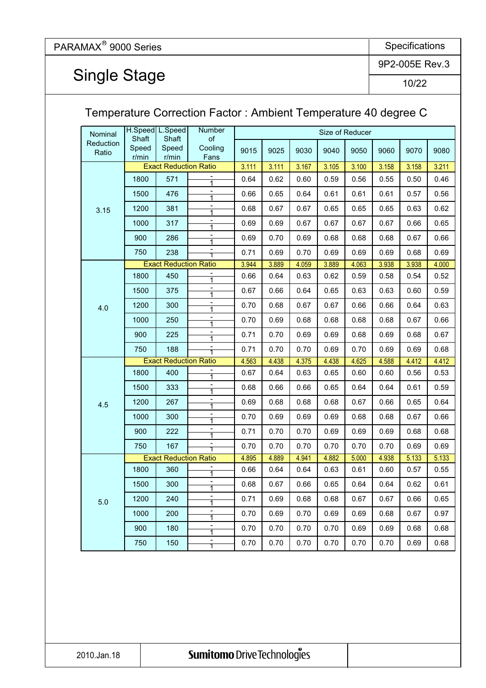Single Stage

9P2-005E Rev.3

10/22

|                    |                |                              |                                   | Temperature Correction Factor: Ambient Temperature 40 degree C |       |       |       |                 |       |       |       |
|--------------------|----------------|------------------------------|-----------------------------------|----------------------------------------------------------------|-------|-------|-------|-----------------|-------|-------|-------|
| Nominal            | Shaft          | H.Speed L.Speed<br>Shaft     | Number<br>of                      |                                                                |       |       |       | Size of Reducer |       |       |       |
| Reduction<br>Ratio | Speed<br>r/min | Speed<br>r/min               | Cooling<br>Fans                   | 9015                                                           | 9025  | 9030  | 9040  | 9050            | 9060  | 9070  | 9080  |
|                    |                | <b>Exact Reduction Ratio</b> |                                   | 3.111                                                          | 3.111 | 3.167 | 3.105 | 3.100           | 3.158 | 3.158 | 3.211 |
|                    | 1800           | 571                          |                                   | 0.64                                                           | 0.62  | 0.60  | 0.59  | 0.56            | 0.55  | 0.50  | 0.46  |
|                    | 1500           | 476                          | $\overline{\phantom{0}}$<br>1     | 0.66                                                           | 0.65  | 0.64  | 0.61  | 0.61            | 0.61  | 0.57  | 0.56  |
| 3.15               | 1200           | 381                          | $\overline{\phantom{a}}$<br>1     | 0.68                                                           | 0.67  | 0.67  | 0.65  | 0.65            | 0.65  | 0.63  | 0.62  |
|                    | 1000           | 317                          | $\overline{\phantom{a}}$<br>1     | 0.69                                                           | 0.69  | 0.67  | 0.67  | 0.67            | 0.67  | 0.66  | 0.65  |
|                    | 900            | 286                          | $\overline{\phantom{a}}$<br>1     | 0.69                                                           | 0.70  | 0.69  | 0.68  | 0.68            | 0.68  | 0.67  | 0.66  |
|                    | 750            | 238                          |                                   | 0.71                                                           | 0.69  | 0.70  | 0.69  | 0.69            | 0.69  | 0.68  | 0.69  |
|                    |                | <b>Exact Reduction Ratio</b> |                                   | 3.944                                                          | 3.889 | 4.059 | 3.889 | 4.063           | 3.938 | 3.938 | 4.000 |
|                    | 1800           | 450                          | 1                                 | 0.66                                                           | 0.64  | 0.63  | 0.62  | 0.59            | 0.58  | 0.54  | 0.52  |
|                    | 1500           | 375                          | $\overline{\phantom{a}}$<br>1     | 0.67                                                           | 0.66  | 0.64  | 0.65  | 0.63            | 0.63  | 0.60  | 0.59  |
| 4.0                | 1200           | 300                          | $\overline{\phantom{a}}$<br>1     | 0.70                                                           | 0.68  | 0.67  | 0.67  | 0.66            | 0.66  | 0.64  | 0.63  |
|                    | 1000           | 250                          | $\overline{\phantom{a}}$<br>1     | 0.70                                                           | 0.69  | 0.68  | 0.68  | 0.68            | 0.68  | 0.67  | 0.66  |
|                    | 900            | 225                          | 1                                 | 0.71                                                           | 0.70  | 0.69  | 0.69  | 0.68            | 0.69  | 0.68  | 0.67  |
|                    | 750            | 188                          |                                   | 0.71                                                           | 0.70  | 0.70  | 0.69  | 0.70            | 0.69  | 0.69  | 0.68  |
|                    |                | <b>Exact Reduction Ratio</b> |                                   | 4.563                                                          | 4.438 | 4.375 | 4.438 | 4.625           | 4.588 | 4.412 | 4.412 |
|                    | 1800           | 400                          |                                   | 0.67                                                           | 0.64  | 0.63  | 0.65  | 0.60            | 0.60  | 0.56  | 0.53  |
|                    | 1500           | 333                          | $\qquad \qquad \blacksquare$      | 0.68                                                           | 0.66  | 0.66  | 0.65  | 0.64            | 0.64  | 0.61  | 0.59  |
| 4.5                | 1200           | 267                          | $\blacksquare$                    | 0.69                                                           | 0.68  | 0.68  | 0.68  | 0.67            | 0.66  | 0.65  | 0.64  |
|                    | 1000           | 300                          | $\blacksquare$                    | 0.70                                                           | 0.69  | 0.69  | 0.69  | 0.68            | 0.68  | 0.67  | 0.66  |
|                    | 900            | 222                          | $\blacksquare$                    | 0.71                                                           | 0.70  | 0.70  | 0.69  | 0.69            | 0.69  | 0.68  | 0.68  |
|                    | 750            | 167                          |                                   | 0.70                                                           | 0.70  | 0.70  | 0.70  | 0.70            | 0.70  | 0.69  | 0.69  |
|                    |                | <b>Exact Reduction Ratio</b> |                                   | 4.895                                                          | 4.889 | 4.941 | 4.882 | 5.000           | 4.938 | 5.133 | 5.133 |
|                    | 1800           | 360                          |                                   | 0.66                                                           | 0.64  | 0.64  | 0.63  | 0.61            | 0.60  | 0.57  | 0.55  |
|                    | 1500           | 300                          | $\blacksquare$                    | 0.68                                                           | 0.67  | 0.66  | 0.65  | 0.64            | 0.64  | 0.62  | 0.61  |
| 5.0                | 1200           | 240                          | $\qquad \qquad \blacksquare$<br>1 | 0.71                                                           | 0.69  | 0.68  | 0.68  | 0.67            | 0.67  | 0.66  | 0.65  |
|                    | 1000           | 200                          | $\overline{\phantom{a}}$<br>1     | 0.70                                                           | 0.69  | 0.70  | 0.69  | 0.69            | 0.68  | 0.67  | 0.97  |
|                    | 900            | 180                          | $\blacksquare$<br>1               | 0.70                                                           | 0.70  | 0.70  | 0.70  | 0.69            | 0.69  | 0.68  | 0.68  |
|                    | 750            | 150                          | 1                                 | 0.70                                                           | 0.70  | 0.70  | 0.70  | 0.70            | 0.70  | 0.69  | 0.68  |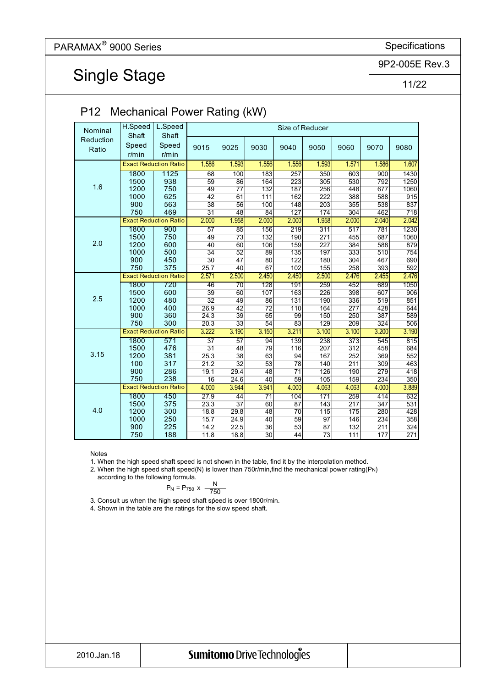Single Stage

9P2-005E Rev.3

11/22

|           | H.Speed  | $\frac{1}{2}$<br>L.Speed     |                 | Size of Reducer |                 |                 |       |                  |       |       |  |  |  |
|-----------|----------|------------------------------|-----------------|-----------------|-----------------|-----------------|-------|------------------|-------|-------|--|--|--|
| Nominal   | Shaft    | Shaft                        |                 |                 |                 |                 |       |                  |       |       |  |  |  |
| Reduction |          |                              |                 |                 |                 |                 |       |                  |       |       |  |  |  |
| Ratio     | Speed    | Speed                        | 9015            | 9025            | 9030            | 9040            | 9050  | 9060             | 9070  | 9080  |  |  |  |
|           | $r/m$ in | $r/m$ in                     |                 |                 |                 |                 |       |                  |       |       |  |  |  |
|           |          | <b>Exact Reduction Ratio</b> | 1.586           | 1.593           | 1.556           | 1.556           | 1.593 | 1.571            | 1.586 | 1.607 |  |  |  |
|           | 1800     | 1125                         | 68              | 100             | 183             | 257             | 350   | 603              | 900   | 1430  |  |  |  |
|           | 1500     | 938                          | 59              | 86              | 164             | 223             | 305   | 530              | 792   | 1250  |  |  |  |
| 1.6       | 1200     | 750                          | 49              | $\overline{77}$ | 132             | 187             | 256   | 448              | 677   | 1060  |  |  |  |
|           | 1000     | 625                          | $\overline{42}$ | 61              | 111             | 162             | 222   | 388              | 588   | 915   |  |  |  |
|           | 900      | 563                          | 38              | 56              | 100             | 148             | 203   | 355              | 538   | 837   |  |  |  |
|           | 750      | 469                          | $\overline{31}$ | 48              | 84              | 127             | 174   | 304              | 462   | 718   |  |  |  |
|           |          | <b>Exact Reduction Ratio</b> | 2.000           | 1.958           | 2.000           | 2.000           | 1.958 | 2.000            | 2.040 | 2.042 |  |  |  |
|           | 1800     | 900                          | 57              | 85              | 156             | 219             | 311   | 517              | 781   | 1230  |  |  |  |
|           | 1500     | 750                          | 49              | 73              | 132             | 190             | 271   | 455              | 687   | 1060  |  |  |  |
| 2.0       | 1200     | 600                          | 40              | 60              | 106             | 159             | 227   | 384              | 588   | 879   |  |  |  |
|           | 1000     | 500                          | $\overline{34}$ | 52              | 89              | 135             | 197   | 333              | 510   | 754   |  |  |  |
|           | 900      | 450                          | 30              | 47              | 80              | 122             | 180   | 304              | 467   | 690   |  |  |  |
|           | 750      | 375                          | 25.7            | 40              | 67              | 102             | 155   | 258              | 393   | 592   |  |  |  |
|           |          | <b>Exact Reduction Ratio</b> | 2.571           | 2.500           | 2.450           | 2.450           | 2.500 | 2.476            | 2.455 | 2.476 |  |  |  |
|           | 1800     | 720                          | 46              | $\overline{70}$ | 128             | 191             | 259   | 452              | 689   | 1050  |  |  |  |
|           | 1500     | 600                          | 39              | 60              | 107             | 163             | 226   | 398              | 607   | 906   |  |  |  |
| 2.5       | 1200     | 480                          | $\overline{32}$ | 49              | 86              | 131             | 190   | 336              | 519   | 851   |  |  |  |
|           | 1000     | 400                          | 26.9            | 42              | $\overline{72}$ | 110             | 164   | 277              | 428   | 644   |  |  |  |
|           | 900      | 360                          | 24.3            | 39              | 65              | 99              | 150   | 250              | 387   | 589   |  |  |  |
|           | 750      | 300                          | 20.3            | $\overline{33}$ | 54              | 83              | 129   | 209              | 324   | 506   |  |  |  |
|           |          | <b>Exact Reduction Ratio</b> | 3.222           | 3.190           | 3.150           | 3.211           | 3.100 | 3.100            | 3.200 | 3.190 |  |  |  |
|           | 1800     | 571                          | $\overline{37}$ | 57              | 94              | 139             | 238   | 373              | 545   | 815   |  |  |  |
|           | 1500     | 476                          | $\overline{31}$ | 48              | 79              | 116             | 207   | $\overline{312}$ | 458   | 684   |  |  |  |
| 3.15      | 1200     | 381                          | 25.3            | 38              | 63              | 94              | 167   | 252              | 369   | 552   |  |  |  |
|           | 100      | 317                          | 21.2            | $\overline{32}$ | 53              | 78              | 140   | 211              | 309   | 463   |  |  |  |
|           | 900      | 286                          | 19.1            | 29.4            | 48              | $\overline{71}$ | 126   | 190              | 279   | 418   |  |  |  |
|           | 750      | 238                          | 16              | 24.6            | 40              | 59              | 105   | 159              | 234   | 350   |  |  |  |
|           |          | <b>Exact Reduction Ratio</b> | 4.000           | 3.944           | 3.941           | 4.000           | 4.063 | 4.063            | 4.000 | 3.889 |  |  |  |
|           | 1800     | 450                          | 27.9            | 44              | $\overline{71}$ | 104             | 171   | 259              | 414   | 632   |  |  |  |
|           | 1500     | 375                          | 23.3            | 37              | 60              | 87              | 143   | 217              | 347   | 531   |  |  |  |
| 4.0       | 1200     | 300                          | 18.8            | 29.8            | 48              | 70              | 115   | 175              | 280   | 428   |  |  |  |
|           | 1000     | 250                          | 15.7            | 24.9            | 40              | 59              | 97    | 146              | 234   | 358   |  |  |  |
|           | 900      | 225                          | 14.2            | 22.5            | 36              | 53              | 87    | 132              | 211   | 324   |  |  |  |
|           | 750      | 188                          | 11.8            | 18.8            | $\overline{30}$ | 44              | 73    | 111              | 177   | 271   |  |  |  |

#### P12 Mechanical Power Rating (kW)

Notes

1. When the high speed shaft speed is not shown in the table, find it by the interpolation method.

2. When the high speed shaft speed(N) is lower than 750r/min, find the mechanical power rating  $(PN)$ 

according to the following formula.

$$
P_N = P_{750} \times \frac{N}{750}
$$

3. Consult us when the high speed shaft speed is over 1800r/min.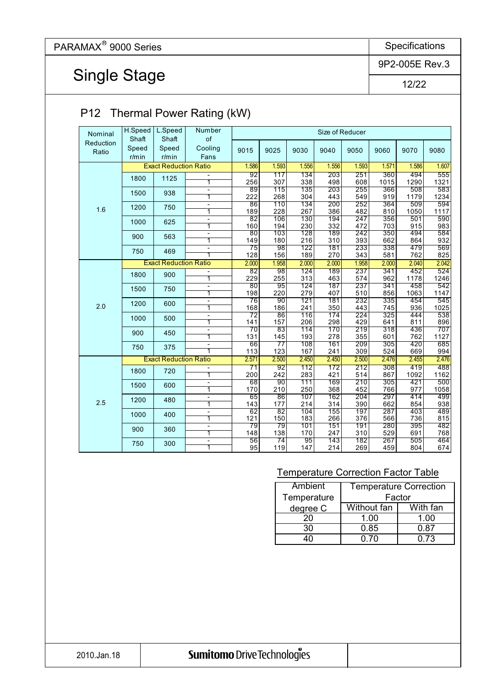# Single Stage

9P2-005E Rev.3

12/22

| Shaft<br>Speed<br>r/min<br>1800 | Shaft<br>Speed<br>$r/m$ in<br><b>Exact Reduction Ratio</b>                      | of<br>Cooling<br>Fans                                                            | 9015                                                                                                                                                                                                                                                                                                                                                                                                                                               |                                                                                                                                                                                                                         |                                                                                                                                                                                                        |                                                                                                                                                                                                                         |                                                                                                                                                                                                             |                                                                                                                                                                                                                    |                                                                                                                                                                                               |                                                                                                                                                                                                                      |
|---------------------------------|---------------------------------------------------------------------------------|----------------------------------------------------------------------------------|----------------------------------------------------------------------------------------------------------------------------------------------------------------------------------------------------------------------------------------------------------------------------------------------------------------------------------------------------------------------------------------------------------------------------------------------------|-------------------------------------------------------------------------------------------------------------------------------------------------------------------------------------------------------------------------|--------------------------------------------------------------------------------------------------------------------------------------------------------------------------------------------------------|-------------------------------------------------------------------------------------------------------------------------------------------------------------------------------------------------------------------------|-------------------------------------------------------------------------------------------------------------------------------------------------------------------------------------------------------------|--------------------------------------------------------------------------------------------------------------------------------------------------------------------------------------------------------------------|-----------------------------------------------------------------------------------------------------------------------------------------------------------------------------------------------|----------------------------------------------------------------------------------------------------------------------------------------------------------------------------------------------------------------------|
|                                 |                                                                                 |                                                                                  |                                                                                                                                                                                                                                                                                                                                                                                                                                                    | 9025                                                                                                                                                                                                                    | 9030                                                                                                                                                                                                   | 9040                                                                                                                                                                                                                    | 9050                                                                                                                                                                                                        | 9060                                                                                                                                                                                                               | 9070                                                                                                                                                                                          | 9080                                                                                                                                                                                                                 |
|                                 |                                                                                 |                                                                                  | 1.586                                                                                                                                                                                                                                                                                                                                                                                                                                              | 1.593                                                                                                                                                                                                                   | 1.556                                                                                                                                                                                                  | 1.556                                                                                                                                                                                                                   | 1.593                                                                                                                                                                                                       | 1.571                                                                                                                                                                                                              | 1.586                                                                                                                                                                                         | 1.607                                                                                                                                                                                                                |
|                                 |                                                                                 |                                                                                  | $\overline{92}$                                                                                                                                                                                                                                                                                                                                                                                                                                    | 117                                                                                                                                                                                                                     | 134                                                                                                                                                                                                    | $\overline{203}$                                                                                                                                                                                                        | 251                                                                                                                                                                                                         | 360                                                                                                                                                                                                                | 494                                                                                                                                                                                           | 555                                                                                                                                                                                                                  |
|                                 | 1125                                                                            | 1                                                                                | 256                                                                                                                                                                                                                                                                                                                                                                                                                                                | 307                                                                                                                                                                                                                     | 338                                                                                                                                                                                                    | 498                                                                                                                                                                                                                     | 608                                                                                                                                                                                                         | 1015                                                                                                                                                                                                               | 1290                                                                                                                                                                                          | 1321                                                                                                                                                                                                                 |
| 1500                            | 938                                                                             | L,                                                                               | 89                                                                                                                                                                                                                                                                                                                                                                                                                                                 | 115                                                                                                                                                                                                                     | 135                                                                                                                                                                                                    | 203                                                                                                                                                                                                                     | 255                                                                                                                                                                                                         | 366                                                                                                                                                                                                                | 508                                                                                                                                                                                           | 583                                                                                                                                                                                                                  |
|                                 |                                                                                 | $\overline{1}$                                                                   | 222                                                                                                                                                                                                                                                                                                                                                                                                                                                | 268                                                                                                                                                                                                                     | 304                                                                                                                                                                                                    | 443                                                                                                                                                                                                                     | 549                                                                                                                                                                                                         | 919                                                                                                                                                                                                                | 1179                                                                                                                                                                                          | 1234                                                                                                                                                                                                                 |
| 1200                            | 750                                                                             | Ξ                                                                                | 86                                                                                                                                                                                                                                                                                                                                                                                                                                                 | 110                                                                                                                                                                                                                     | 134                                                                                                                                                                                                    | 200                                                                                                                                                                                                                     | 252                                                                                                                                                                                                         | 364                                                                                                                                                                                                                | 509                                                                                                                                                                                           | 594                                                                                                                                                                                                                  |
|                                 |                                                                                 | 1                                                                                | 189                                                                                                                                                                                                                                                                                                                                                                                                                                                | 228                                                                                                                                                                                                                     | 267                                                                                                                                                                                                    | 386                                                                                                                                                                                                                     | 482                                                                                                                                                                                                         | 810                                                                                                                                                                                                                | 1050                                                                                                                                                                                          | 1117<br>590                                                                                                                                                                                                          |
| 1000                            | 625                                                                             |                                                                                  |                                                                                                                                                                                                                                                                                                                                                                                                                                                    |                                                                                                                                                                                                                         |                                                                                                                                                                                                        |                                                                                                                                                                                                                         |                                                                                                                                                                                                             |                                                                                                                                                                                                                    |                                                                                                                                                                                               | 983                                                                                                                                                                                                                  |
|                                 |                                                                                 |                                                                                  |                                                                                                                                                                                                                                                                                                                                                                                                                                                    |                                                                                                                                                                                                                         |                                                                                                                                                                                                        |                                                                                                                                                                                                                         |                                                                                                                                                                                                             |                                                                                                                                                                                                                    |                                                                                                                                                                                               |                                                                                                                                                                                                                      |
| 900                             |                                                                                 |                                                                                  |                                                                                                                                                                                                                                                                                                                                                                                                                                                    |                                                                                                                                                                                                                         |                                                                                                                                                                                                        |                                                                                                                                                                                                                         |                                                                                                                                                                                                             |                                                                                                                                                                                                                    |                                                                                                                                                                                               | 584<br>932                                                                                                                                                                                                           |
|                                 |                                                                                 |                                                                                  |                                                                                                                                                                                                                                                                                                                                                                                                                                                    |                                                                                                                                                                                                                         |                                                                                                                                                                                                        |                                                                                                                                                                                                                         |                                                                                                                                                                                                             |                                                                                                                                                                                                                    |                                                                                                                                                                                               | 569                                                                                                                                                                                                                  |
|                                 |                                                                                 |                                                                                  |                                                                                                                                                                                                                                                                                                                                                                                                                                                    |                                                                                                                                                                                                                         |                                                                                                                                                                                                        |                                                                                                                                                                                                                         |                                                                                                                                                                                                             |                                                                                                                                                                                                                    |                                                                                                                                                                                               | 825                                                                                                                                                                                                                  |
|                                 |                                                                                 |                                                                                  |                                                                                                                                                                                                                                                                                                                                                                                                                                                    |                                                                                                                                                                                                                         |                                                                                                                                                                                                        |                                                                                                                                                                                                                         |                                                                                                                                                                                                             |                                                                                                                                                                                                                    |                                                                                                                                                                                               | 2.042                                                                                                                                                                                                                |
|                                 |                                                                                 |                                                                                  |                                                                                                                                                                                                                                                                                                                                                                                                                                                    |                                                                                                                                                                                                                         |                                                                                                                                                                                                        |                                                                                                                                                                                                                         |                                                                                                                                                                                                             |                                                                                                                                                                                                                    |                                                                                                                                                                                               | 524                                                                                                                                                                                                                  |
|                                 |                                                                                 |                                                                                  |                                                                                                                                                                                                                                                                                                                                                                                                                                                    |                                                                                                                                                                                                                         |                                                                                                                                                                                                        |                                                                                                                                                                                                                         |                                                                                                                                                                                                             |                                                                                                                                                                                                                    |                                                                                                                                                                                               | 1246                                                                                                                                                                                                                 |
|                                 |                                                                                 | $\blacksquare$                                                                   | 80                                                                                                                                                                                                                                                                                                                                                                                                                                                 | 95                                                                                                                                                                                                                      | 124                                                                                                                                                                                                    | 187                                                                                                                                                                                                                     | 237                                                                                                                                                                                                         | 341                                                                                                                                                                                                                | 458                                                                                                                                                                                           | 542                                                                                                                                                                                                                  |
|                                 |                                                                                 | 1                                                                                | 198                                                                                                                                                                                                                                                                                                                                                                                                                                                | 220                                                                                                                                                                                                                     | 279                                                                                                                                                                                                    | 407                                                                                                                                                                                                                     | 510                                                                                                                                                                                                         | 856                                                                                                                                                                                                                | 1063                                                                                                                                                                                          | 1147                                                                                                                                                                                                                 |
|                                 |                                                                                 | $\overline{a}$                                                                   |                                                                                                                                                                                                                                                                                                                                                                                                                                                    | 90                                                                                                                                                                                                                      |                                                                                                                                                                                                        | 181                                                                                                                                                                                                                     |                                                                                                                                                                                                             | 335                                                                                                                                                                                                                | 454                                                                                                                                                                                           | 545                                                                                                                                                                                                                  |
|                                 |                                                                                 |                                                                                  |                                                                                                                                                                                                                                                                                                                                                                                                                                                    | 186                                                                                                                                                                                                                     |                                                                                                                                                                                                        |                                                                                                                                                                                                                         |                                                                                                                                                                                                             | 745                                                                                                                                                                                                                |                                                                                                                                                                                               | 1025                                                                                                                                                                                                                 |
|                                 |                                                                                 | Ξ                                                                                |                                                                                                                                                                                                                                                                                                                                                                                                                                                    |                                                                                                                                                                                                                         |                                                                                                                                                                                                        |                                                                                                                                                                                                                         |                                                                                                                                                                                                             |                                                                                                                                                                                                                    |                                                                                                                                                                                               | 538                                                                                                                                                                                                                  |
|                                 |                                                                                 |                                                                                  |                                                                                                                                                                                                                                                                                                                                                                                                                                                    |                                                                                                                                                                                                                         |                                                                                                                                                                                                        |                                                                                                                                                                                                                         |                                                                                                                                                                                                             |                                                                                                                                                                                                                    |                                                                                                                                                                                               | 896                                                                                                                                                                                                                  |
|                                 |                                                                                 | ÷,                                                                               |                                                                                                                                                                                                                                                                                                                                                                                                                                                    |                                                                                                                                                                                                                         |                                                                                                                                                                                                        |                                                                                                                                                                                                                         |                                                                                                                                                                                                             |                                                                                                                                                                                                                    |                                                                                                                                                                                               | 707                                                                                                                                                                                                                  |
|                                 |                                                                                 |                                                                                  |                                                                                                                                                                                                                                                                                                                                                                                                                                                    |                                                                                                                                                                                                                         |                                                                                                                                                                                                        |                                                                                                                                                                                                                         |                                                                                                                                                                                                             |                                                                                                                                                                                                                    |                                                                                                                                                                                               | 1127                                                                                                                                                                                                                 |
|                                 |                                                                                 |                                                                                  |                                                                                                                                                                                                                                                                                                                                                                                                                                                    |                                                                                                                                                                                                                         |                                                                                                                                                                                                        |                                                                                                                                                                                                                         |                                                                                                                                                                                                             |                                                                                                                                                                                                                    |                                                                                                                                                                                               | 685                                                                                                                                                                                                                  |
|                                 |                                                                                 |                                                                                  |                                                                                                                                                                                                                                                                                                                                                                                                                                                    |                                                                                                                                                                                                                         |                                                                                                                                                                                                        |                                                                                                                                                                                                                         |                                                                                                                                                                                                             |                                                                                                                                                                                                                    |                                                                                                                                                                                               | 994                                                                                                                                                                                                                  |
|                                 |                                                                                 |                                                                                  |                                                                                                                                                                                                                                                                                                                                                                                                                                                    |                                                                                                                                                                                                                         |                                                                                                                                                                                                        |                                                                                                                                                                                                                         |                                                                                                                                                                                                             |                                                                                                                                                                                                                    |                                                                                                                                                                                               | 2.476                                                                                                                                                                                                                |
|                                 |                                                                                 |                                                                                  |                                                                                                                                                                                                                                                                                                                                                                                                                                                    |                                                                                                                                                                                                                         |                                                                                                                                                                                                        |                                                                                                                                                                                                                         |                                                                                                                                                                                                             |                                                                                                                                                                                                                    |                                                                                                                                                                                               | 488                                                                                                                                                                                                                  |
|                                 |                                                                                 |                                                                                  |                                                                                                                                                                                                                                                                                                                                                                                                                                                    |                                                                                                                                                                                                                         |                                                                                                                                                                                                        |                                                                                                                                                                                                                         |                                                                                                                                                                                                             |                                                                                                                                                                                                                    |                                                                                                                                                                                               | 1162                                                                                                                                                                                                                 |
| 1500                            | 600                                                                             |                                                                                  |                                                                                                                                                                                                                                                                                                                                                                                                                                                    |                                                                                                                                                                                                                         |                                                                                                                                                                                                        |                                                                                                                                                                                                                         |                                                                                                                                                                                                             |                                                                                                                                                                                                                    |                                                                                                                                                                                               | 500                                                                                                                                                                                                                  |
|                                 |                                                                                 |                                                                                  |                                                                                                                                                                                                                                                                                                                                                                                                                                                    |                                                                                                                                                                                                                         |                                                                                                                                                                                                        |                                                                                                                                                                                                                         |                                                                                                                                                                                                             |                                                                                                                                                                                                                    |                                                                                                                                                                                               | 1058                                                                                                                                                                                                                 |
| 1200                            | 480                                                                             |                                                                                  |                                                                                                                                                                                                                                                                                                                                                                                                                                                    |                                                                                                                                                                                                                         |                                                                                                                                                                                                        |                                                                                                                                                                                                                         |                                                                                                                                                                                                             |                                                                                                                                                                                                                    |                                                                                                                                                                                               | 499                                                                                                                                                                                                                  |
|                                 |                                                                                 |                                                                                  |                                                                                                                                                                                                                                                                                                                                                                                                                                                    |                                                                                                                                                                                                                         |                                                                                                                                                                                                        |                                                                                                                                                                                                                         |                                                                                                                                                                                                             |                                                                                                                                                                                                                    |                                                                                                                                                                                               | 938<br>489                                                                                                                                                                                                           |
|                                 |                                                                                 |                                                                                  |                                                                                                                                                                                                                                                                                                                                                                                                                                                    |                                                                                                                                                                                                                         |                                                                                                                                                                                                        |                                                                                                                                                                                                                         |                                                                                                                                                                                                             |                                                                                                                                                                                                                    |                                                                                                                                                                                               | 815                                                                                                                                                                                                                  |
|                                 |                                                                                 |                                                                                  |                                                                                                                                                                                                                                                                                                                                                                                                                                                    |                                                                                                                                                                                                                         |                                                                                                                                                                                                        |                                                                                                                                                                                                                         |                                                                                                                                                                                                             |                                                                                                                                                                                                                    |                                                                                                                                                                                               | 482                                                                                                                                                                                                                  |
|                                 |                                                                                 |                                                                                  |                                                                                                                                                                                                                                                                                                                                                                                                                                                    |                                                                                                                                                                                                                         |                                                                                                                                                                                                        |                                                                                                                                                                                                                         |                                                                                                                                                                                                             |                                                                                                                                                                                                                    |                                                                                                                                                                                               | 768                                                                                                                                                                                                                  |
|                                 |                                                                                 |                                                                                  |                                                                                                                                                                                                                                                                                                                                                                                                                                                    |                                                                                                                                                                                                                         |                                                                                                                                                                                                        |                                                                                                                                                                                                                         |                                                                                                                                                                                                             |                                                                                                                                                                                                                    |                                                                                                                                                                                               | 464                                                                                                                                                                                                                  |
|                                 |                                                                                 | 1                                                                                |                                                                                                                                                                                                                                                                                                                                                                                                                                                    |                                                                                                                                                                                                                         |                                                                                                                                                                                                        |                                                                                                                                                                                                                         |                                                                                                                                                                                                             |                                                                                                                                                                                                                    |                                                                                                                                                                                               | 674                                                                                                                                                                                                                  |
|                                 | 750<br>1800<br>1500<br>1200<br>1000<br>900<br>750<br>1800<br>1000<br>900<br>750 | 563<br>469<br>900<br>750<br>600<br>500<br>450<br>375<br>720<br>400<br>360<br>300 | $\qquad \qquad \blacksquare$<br>$\overline{1}$<br>$\overline{a}$<br>1<br>÷,<br>1<br><b>Exact Reduction Ratio</b><br>$\overline{\mathbf{1}}$<br>$\overline{1}$<br>1<br>$\overline{\mathbf{1}}$<br>$\blacksquare$<br>ī<br><b>Exact Reduction Ratio</b><br>$\overline{1}$<br>$\blacksquare$<br>$\overline{1}$<br>$\overline{\phantom{a}}$<br>$\overline{1}$<br>$\frac{1}{2}$<br>1<br>$\qquad \qquad \blacksquare$<br>$\overline{1}$<br>$\overline{a}$ | 82<br>160<br>$\overline{80}$<br>149<br>75<br>128<br>2.000<br>$\overline{82}$<br>229<br>76<br>168<br>72<br>141<br>70<br>131<br>66<br>113<br>2.571<br>71<br>200<br>68<br>170<br>65<br>143<br>62<br>121<br>79<br>148<br>56 | 106<br>194<br>103<br>180<br>98<br>156<br>1.958<br>98<br>255<br>86<br>157<br>83<br>145<br>77<br>123<br>2.500<br>92<br>242<br>90<br>210<br>86<br>177<br>82<br>150<br>79<br>138<br>$\overline{74}$<br>119 | 130<br>230<br>128<br>216<br>122<br>189<br>2.000<br>124<br>313<br>121<br>241<br>116<br>206<br>114<br>193<br>108<br>167<br>2.450<br>112<br>283<br>111<br>250<br>107<br>214<br>104<br>183<br>101<br>170<br>95<br>95<br>147 | 194<br>332<br>189<br>310<br>181<br>270<br>2.000<br>189<br>463<br>350<br>174<br>298<br>170<br>278<br>161<br>241<br>2.450<br>172<br>421<br>169<br>368<br>162<br>314<br>155<br>266<br>151<br>247<br>143<br>214 | 247<br>472<br>242<br>393<br>233<br>343<br>1.958<br>237<br>574<br>232<br>443<br>224<br>429<br>219<br>355<br>209<br>309<br>2.500<br>212<br>514<br>210<br>452<br>204<br>390<br>197<br>376<br>191<br>310<br>182<br>269 | 356<br>703<br>350<br>662<br>338<br>581<br>2.000<br>341<br>962<br>325<br>641<br>318<br>601<br>305<br>524<br>2.476<br>308<br>867<br>305<br>766<br>297<br>662<br>287<br>566<br>280<br>529<br>267 | 501<br>915<br>494<br>864<br>479<br>762<br>2.040<br>452<br>1178<br>936<br>444<br>811<br>436<br>762<br>420<br>669<br>2.455<br>419<br>1092<br>421<br>977<br>414<br>854<br>403<br>736<br>395<br>691<br>505<br>459<br>804 |

#### P12 Thermal Power Rating (kW)

| Ambient     | <b>Temperature Correction</b> |          |  |  |  |  |
|-------------|-------------------------------|----------|--|--|--|--|
| Temperature | Factor                        |          |  |  |  |  |
| degree C    | Without fan                   | With fan |  |  |  |  |
| 20          | 1.00                          | 1.00     |  |  |  |  |
| 30          | 0.85                          | በ 87     |  |  |  |  |
|             | ი ⁊ი                          | 0 73     |  |  |  |  |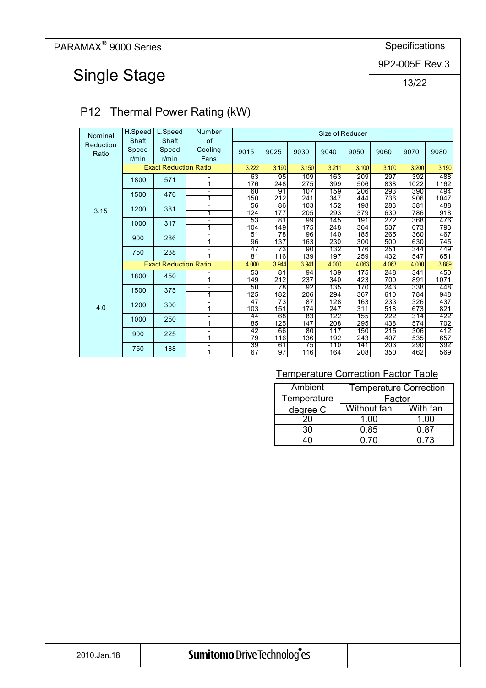## Single Stage

9P2-005E Rev.3

13/22

#### P12 Thermal Power Rating (kW)

| Nominal   | H.Speed  | L.Speed                      | Number         |       |                 |       | Size of Reducer |       |       |       |       |
|-----------|----------|------------------------------|----------------|-------|-----------------|-------|-----------------|-------|-------|-------|-------|
| Reduction | Shaft    | Shaft                        | of             |       |                 |       |                 |       |       |       |       |
| Ratio     | Speed    | Speed                        | Cooling        | 9015  | 9025            | 9030  | 9040            | 9050  | 9060  | 9070  | 9080  |
|           | $r/m$ in | $r/m$ in                     | Fans           |       |                 |       |                 |       |       |       |       |
|           |          | <b>Exact Reduction Ratio</b> |                | 3.222 | 3.190           | 3.150 | 3.211           | 3.100 | 3.100 | 3.200 | 3.190 |
|           | 1800     | 571                          |                | 63    | 95              | 109   | 163             | 209   | 297   | 392   | 488   |
|           |          |                              |                | 176   | 248             | 275   | 399             | 506   | 838   | 1022  | 1162  |
|           | 1500     | 476                          | -              | 60    | 91              | 107   | 159             | 206   | 293   | 390   | 494   |
|           |          |                              | 1              | 150   | 212             | 241   | 347             | 444   | 736   | 906   | 1047  |
|           | 1200     | 381                          | -              | 56    | 86              | 103   | 152             | 198   | 283   | 381   | 488   |
| 3.15      |          |                              | 1              | 124   | 177             | 205   | 293             | 379   | 630   | 786   | 918   |
|           | 1000     | 317                          | -              | 53    | $\overline{81}$ | 99    | 145             | 191   | 272   | 368   | 476   |
|           |          |                              | 1              | 104   | 149             | 175   | 248             | 364   | 537   | 673   | 793   |
|           | 900      | 286                          |                | 51    | 78              | 96    | 140             | 185   | 265   | 360   | 467   |
|           |          |                              | 1              | 96    | 137             | 163   | 230             | 300   | 500   | 630   | 745   |
|           | 750      | 238                          | -              | 47    | 73              | 90    | 132             | 176   | 251   | 344   | 449   |
|           |          |                              |                | 81    | 116             | 139   | 197             | 259   | 432   | 547   | 651   |
|           |          | <b>Exact Reduction Ratio</b> |                | 4.000 | 3.944           | 3.941 | 4.000           | 4.063 | 4.063 | 4.000 | 3.889 |
|           | 1800     | 450                          |                | 53    | 81              | 94    | 139             | 175   | 248   | 341   | 450   |
|           |          |                              | 1              | 149   | 212             | 237   | 340             | 423   | 700   | 891   | 1071  |
|           | 1500     | 375                          | Ξ.             | 50    | 78              | 92    | 135             | 170   | 243   | 338   | 448   |
|           |          |                              | 1              | 125   | 182             | 206   | 294             | 367   | 610   | 784   | 948   |
|           | 1200     | 300                          | -              | 47    | 73              | 87    | 128             | 163   | 233   | 326   | 437   |
| 4.0       |          |                              | 1              | 103   | 151             | 174   | 247             | 311   | 518   | 673   | 821   |
|           | 1000     | 250                          |                | 44    | 68              | 83    | 122             | 155   | 222   | 314   | 422   |
|           |          |                              | 1              | 85    | 125             | 147   | 208             | 295   | 438   | 574   | 702   |
|           | 900      | 225                          | $\overline{a}$ | 42    | 66              | 80    | 117             | 150   | 215   | 306   | 412   |
|           |          |                              |                | 79    | 116             | 136   | 192             | 243   | 407   | 535   | 657   |
|           | 750      | 188                          | -              | 39    | 61              | 75    | 110             | 141   | 203   | 290   | 392   |
|           |          |                              | 1              | 67    | 97              | 116   | 164             | 208   | 350   | 462   | 569   |

| Ambient     | <b>Temperature Correction</b> |          |  |  |  |  |
|-------------|-------------------------------|----------|--|--|--|--|
| Temperature | Factor                        |          |  |  |  |  |
| degree C    | Without fan                   | With fan |  |  |  |  |
| 20          | 1.00                          | 1.00     |  |  |  |  |
| 30          | 0.85                          | 0.87     |  |  |  |  |
|             | በ 7በ                          | 0 73     |  |  |  |  |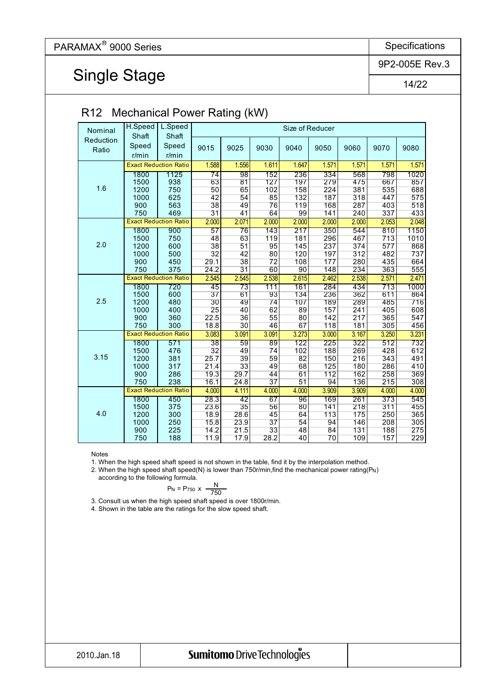Single Stage

9P2-005E Rev.3

14/22

| R12<br>Mechanical Power Rating (KW)                                                                                                 |            |  |  |  |  |  |  |  |  |  |  |  |
|-------------------------------------------------------------------------------------------------------------------------------------|------------|--|--|--|--|--|--|--|--|--|--|--|
| L.Speed<br>H.Speed<br>Size of Reducer<br>Nominal<br>Shaft<br>Shaft                                                                  |            |  |  |  |  |  |  |  |  |  |  |  |
| Reduction<br>Speed<br>Speed<br>9015<br>9025<br>9030<br>9040<br>9050<br>9060<br>9070<br>Ratio<br>$r/m$ in<br>$r/m$ in                | 9080       |  |  |  |  |  |  |  |  |  |  |  |
| <b>Exact Reduction Ratio</b><br>1.588<br>1.556<br>1.611<br>1.647<br>1.571<br>1.571<br>1.571                                         | 1.571      |  |  |  |  |  |  |  |  |  |  |  |
| $\overline{98}$<br>152<br>236<br>334<br>798<br>1800<br>1125<br>$\overline{74}$<br>568                                               | 1020       |  |  |  |  |  |  |  |  |  |  |  |
| 63<br>81<br>127<br>197<br>279<br>475<br>667<br>1500<br>938                                                                          | 857        |  |  |  |  |  |  |  |  |  |  |  |
| 1.6<br>50<br>65<br>158<br>224<br>381<br>535<br>750<br>102<br>1200                                                                   | 688        |  |  |  |  |  |  |  |  |  |  |  |
| 54<br>625<br>42<br>85<br>132<br>187<br>318<br>447<br>1000                                                                           | 575        |  |  |  |  |  |  |  |  |  |  |  |
| 563<br>38<br>49<br>119<br>287<br>900<br>76<br>168<br>403                                                                            | 518        |  |  |  |  |  |  |  |  |  |  |  |
| $\overline{31}$<br>141<br>337<br>469<br>41<br>64<br>99<br>240<br>750                                                                | 433        |  |  |  |  |  |  |  |  |  |  |  |
| <b>Exact Reduction Ratio</b><br>2.000<br>2.071<br>2.000<br>2.000<br>2.000<br>2.000<br>2.053                                         | 2.048      |  |  |  |  |  |  |  |  |  |  |  |
| 143<br>217<br>350<br>810<br>1800<br>900<br>57<br>76<br>544                                                                          | 1150       |  |  |  |  |  |  |  |  |  |  |  |
| 713<br>63<br>119<br>181<br>296<br>467<br>1500<br>750<br>48                                                                          | 1010       |  |  |  |  |  |  |  |  |  |  |  |
| 2.0<br>38<br>51<br>95<br>145<br>237<br>374<br>577<br>1200<br>600                                                                    | 868        |  |  |  |  |  |  |  |  |  |  |  |
| 500<br>$\overline{32}$<br>42<br>120<br>197<br>312<br>482<br>1000<br>80                                                              | 737        |  |  |  |  |  |  |  |  |  |  |  |
| 38<br>$\overline{72}$<br>435<br>450<br>29.1<br>108<br>177<br>280<br>900                                                             | 664        |  |  |  |  |  |  |  |  |  |  |  |
| $\overline{31}$<br>363<br>750<br>375<br>24.2<br>60<br>90<br>148<br>234                                                              | 555        |  |  |  |  |  |  |  |  |  |  |  |
| <b>Exact Reduction Ratio</b><br>2.545<br>2.545<br>2.538<br>2.615<br>2.462<br>2.538<br>2.571                                         | 2.471      |  |  |  |  |  |  |  |  |  |  |  |
| 713<br>1800<br>720<br>$\overline{45}$<br>$\overline{73}$<br>111<br>161<br>284<br>434                                                | 1000       |  |  |  |  |  |  |  |  |  |  |  |
| $\overline{37}$<br>93<br>236<br>1500<br>600<br>61<br>134<br>362<br>611                                                              | 864        |  |  |  |  |  |  |  |  |  |  |  |
| 2.5<br>485<br>30<br>49<br>74<br>107<br>189<br>1200<br>480<br>289                                                                    | 716        |  |  |  |  |  |  |  |  |  |  |  |
| 25<br>405<br>1000<br>400<br>40<br>62<br>89<br>157<br>241                                                                            | 608        |  |  |  |  |  |  |  |  |  |  |  |
| 22.5<br>55<br>365<br>36<br>217<br>900<br>360<br>80<br>142                                                                           | 547        |  |  |  |  |  |  |  |  |  |  |  |
| 300<br>18.8<br>30<br>305<br>750<br>46<br>67<br>118<br>181                                                                           | 456        |  |  |  |  |  |  |  |  |  |  |  |
| <b>Exact Reduction Ratio</b><br>3.091<br>3.091<br>3.273<br>3.167<br>3.083<br>3.000<br>3.250                                         | 3.231      |  |  |  |  |  |  |  |  |  |  |  |
| $\overline{38}$<br>225<br>322<br>512<br>59<br>89<br>122<br>1800<br>571<br>32<br>188<br>428<br>1500<br>476<br>49<br>102<br>269<br>74 | 732<br>612 |  |  |  |  |  |  |  |  |  |  |  |
| 3.15<br>343<br>25.7<br>39<br>1200<br>381<br>216<br>59<br>82<br>150                                                                  | 491        |  |  |  |  |  |  |  |  |  |  |  |
| 33<br>286<br>21.4<br>1000<br>317<br>49<br>68<br>125<br>180                                                                          | 410        |  |  |  |  |  |  |  |  |  |  |  |
| 29.7<br>258<br>900<br>286<br>19.3<br>44<br>112<br>162<br>61                                                                         | 369        |  |  |  |  |  |  |  |  |  |  |  |
| 215<br>238<br>16.1<br>24.8<br>37<br>51<br>94<br>750<br>136                                                                          | 308        |  |  |  |  |  |  |  |  |  |  |  |
| <b>Exact Reduction Ratio</b><br>4.000<br>4.000<br>4.111<br>4.000<br>4.000<br>3.909<br>3.909                                         | 4.000      |  |  |  |  |  |  |  |  |  |  |  |
| 28.3<br>42<br>169<br>373<br>450<br>67<br>$\overline{96}$<br>261<br>1800                                                             | 545        |  |  |  |  |  |  |  |  |  |  |  |
| 23.6<br>35<br>218<br>311<br>375<br>56<br>141<br>1500<br>80                                                                          | 455        |  |  |  |  |  |  |  |  |  |  |  |
| 4.0<br>300<br>18.9<br>28.6<br>175<br>250<br>1200<br>45<br>64<br>113                                                                 | 365        |  |  |  |  |  |  |  |  |  |  |  |
| 23.9<br>37<br>15.8<br>54<br>94<br>208<br>250<br>146<br>1000                                                                         | 305        |  |  |  |  |  |  |  |  |  |  |  |
| 14.2<br>21.5<br>188<br>225<br>33<br>48<br>84<br>131<br>900                                                                          | 275        |  |  |  |  |  |  |  |  |  |  |  |
| 11.9<br>17.9<br>28.2<br>70<br>157<br>188<br>109<br>750<br>40                                                                        | 229        |  |  |  |  |  |  |  |  |  |  |  |

#### R12 Mechanical Power Rating (kW)

Notes

1. When the high speed shaft speed is not shown in the table, find it by the interpolation method.

2. When the high speed shaft speed(N) is lower than 750r/min, find the mechanical power rating  $(P_N)$ 

according to the following formula.

$$
P_N = P_{750} \times \frac{N}{750}
$$

3. Consult us when the high speed shaft speed is over 1800r/min.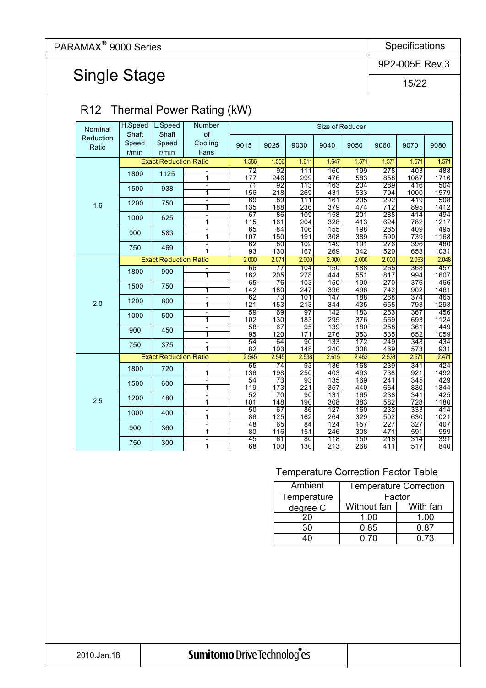## Single Stage

9P2-005E Rev.3

15/22

### R12 Thermal Power Rating (kW)

| Nominal   | H.Speed     | L.Speed                      | Number                   |           |           |            | Size of Reducer |            |            |             |             |
|-----------|-------------|------------------------------|--------------------------|-----------|-----------|------------|-----------------|------------|------------|-------------|-------------|
| Reduction | Shaft       | Shaft                        | of                       |           |           |            |                 |            |            |             |             |
| Ratio     | Speed       | Speed                        | Cooling                  | 9015      | 9025      | 9030       | 9040            | 9050       | 9060       | 9070        | 9080        |
|           | $r/m$ in    | r/min                        | Fans                     |           |           |            |                 |            |            |             |             |
|           |             | <b>Exact Reduction Ratio</b> |                          | 1.586     | 1.556     | 1.611      | 1.647           | 1.571      | 1.571      | 1.571       | 1.571       |
|           | 1800        | 1125                         |                          | 72        | 92        | 111        | 160             | 199        | 278        | 403         | 488         |
|           |             |                              | 1                        | 177       | 246       | 299        | 476             | 583        | 858        | 1087        | 1716        |
|           | 1500        | 938                          | $\overline{a}$<br>1      | 71        | 92<br>218 | 113        | 163             | 204        | 289        | 416         | 504         |
|           |             |                              | Ξ                        | 156<br>69 | 89        | 269<br>111 | 431<br>161      | 533<br>205 | 794<br>292 | 1000<br>419 | 1579<br>508 |
| 1.6       | 1200        | 750                          | 1                        | 135       | 188       | 236        | 379             | 474        | 712        | 895         | 1412        |
|           | 1000        |                              | $\blacksquare$           | 67        | 86        | 109        | 158             | 201        | 288        | 414         | 494         |
|           |             | 625                          | 1                        | 115       | 161       | 204        | 328             | 413        | 624        | 782         | 1217        |
|           | 900         | 563                          | $\overline{\phantom{0}}$ | 65        | 84        | 106        | 155             | 198        | 285        | 409         | 495         |
|           |             |                              | $\overline{\mathbf{1}}$  | 107       | 150       | 191        | 308             | 389        | 590        | 739         | 1168        |
|           | 750         | 469                          | $\blacksquare$<br>1      | 62<br>93  | 80<br>130 | 102<br>167 | 149<br>269      | 191<br>342 | 276<br>520 | 396<br>653  | 480<br>1031 |
|           |             | <b>Exact Reduction Ratio</b> |                          | 2.000     | 2.071     | 2.000      | 2.000           | 2.000      | 2.000      | 2.053       | 2.048       |
|           |             |                              | $\overline{\phantom{a}}$ | 66        | 77        | 104        | 150             | 188        | 265        | 368         | 457         |
| 1800      |             | 900                          | $\overline{1}$           | 162       | 205       | 278        | 444             | 551        | 817        | 994         | 1607        |
|           | 1500<br>750 |                              | $\overline{\phantom{0}}$ | 65        | 76        | 103        | 150             | 190        | 270        | 376         | 466         |
|           |             |                              | 1                        | 142       | 180       | 247        | 396             | 496        | 742        | 902         | 1461        |
|           | 1200        | 600                          | $\blacksquare$           | 62        | 73        | 101        | 147             | 188        | 268        | 374         | 465         |
| 2.0       |             |                              | 1                        | 121       | 153       | 213        | 344             | 435        | 655        | 798         | 1293        |
|           | 1000        | 500                          | 1                        | 59        | 69        | 97         | 142             | 183        | 263<br>569 | 367<br>693  | 456<br>1124 |
|           |             |                              | $\blacksquare$           | 102<br>58 | 130<br>67 | 183<br>95  | 295<br>139      | 376<br>180 | 258        | 361         | 449         |
|           | 900         | 450                          | 1                        | 95        | 120       | 171        | 276             | 353        | 535        | 652         | 1059        |
|           |             |                              | Ξ                        | 54        | 64        | 90         | 133             | 172        | 249        | 348         | 434         |
|           | 750         | 375                          | $\overline{\mathbf{1}}$  | 82        | 103       | 148        | 240             | 308        | 469        | 573         | 931         |
|           |             | <b>Exact Reduction Ratio</b> |                          | 2.545     | 2.545     | 2.538      | 2.615           | 2.462      | 2.538      | 2.571       | 2.471       |
|           | 1800        | 720                          |                          | 55        | 74        | 93         | 136             | 168        | 239        | 341         | 424         |
|           |             |                              | $\overline{\mathbf{1}}$  | 136       | 198       | 250        | 403             | 493        | 738        | 921         | 1492        |
|           | 1500        | 600                          | $\blacksquare$           | 54        | 73        | 93         | 135             | 169        | 241        | 345         | 429         |
|           |             |                              | 1<br>$\blacksquare$      | 119<br>52 | 173<br>70 | 221<br>90  | 357<br>131      | 440<br>165 | 664<br>238 | 830<br>341  | 1344<br>425 |
| 2.5       | 1200        | 480                          | 1                        | 101       | 148       | 190        | 308             | 383        | 582        | 728         | 1180        |
|           |             |                              | L.                       | 50        | 67        | 86         | 127             | 160        | 232        | 333         | 414         |
|           | 1000        | 400                          | 1                        | 86        | 125       | 162        | 264             | 329        | 502        | 630         | 1021        |
|           | 900         | 360                          | $\overline{\phantom{a}}$ | 48        | 65        | 84         | 124             | 157        | 227        | 327         | 407         |
|           |             |                              | 1                        | 80        | 116       | 151        | 246             | 308        | 471        | 591         | 959         |
|           | 750         | 300                          | $\overline{\phantom{a}}$ | 45        | 61        | 80         | 118             | 150        | 218        | 314         | 391         |
|           |             |                              | 1                        | 68        | 100       | 130        | 213             | 268        | 411        | 517         | 840         |

| <b>Ambient</b> | <b>Temperature Correction</b> |          |  |  |  |  |
|----------------|-------------------------------|----------|--|--|--|--|
| Temperature    | Factor                        |          |  |  |  |  |
| degree C       | Without fan                   | With fan |  |  |  |  |
| 20             | 1.00                          | 1.00     |  |  |  |  |
| 30             | 0.85                          | 0 87     |  |  |  |  |
|                | በ 7በ                          | 0 73     |  |  |  |  |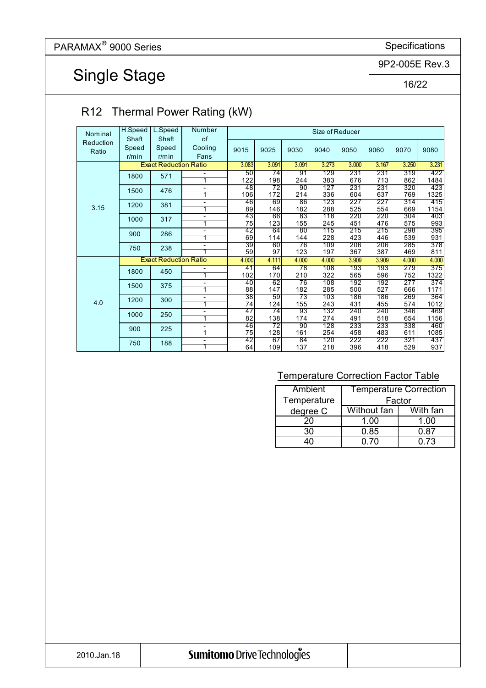Single Stage

9P2-005E Rev.3

16/22

### R12 Thermal Power Rating (kW)

| Nominal   | H.Speed  | L.Speed                      | Number  |                 |           |           | Size of Reducer |            |            |            |             |
|-----------|----------|------------------------------|---------|-----------------|-----------|-----------|-----------------|------------|------------|------------|-------------|
| Reduction | Shaft    | Shaft                        | of      |                 |           |           |                 |            |            |            |             |
| Ratio     | Speed    | Speed                        | Cooling | 9015            | 9025      | 9030      | 9040            | 9050       | 9060       | 9070       | 9080        |
|           | $r/m$ in | $r/m$ in                     | Fans    |                 |           |           |                 |            |            |            |             |
|           |          | <b>Exact Reduction Ratio</b> |         | 3.083           | 3.091     | 3.091     | 3.273           | 3.000      | 3.167      | 3.250      | 3.231       |
|           | 1800     | 571                          |         | 50              | 74        | 91        | 129             | 231        | 231        | 319        | 422         |
|           |          |                              | 1       | 122             | 198       | 244       | 383             | 676        | 713        | 862        | 1484        |
|           | 1500     | 476                          |         | 48              | 72        | 90        | 127             | 231        | 231        | 320        | 423         |
| 3.15      |          |                              | 1       | 106             | 172       | 214       | 336             | 604        | 637        | 769        | 1325        |
|           | 1200     | 381                          | Ξ.      | 46              | 69        | 86        | 123             | 227        | 227        | 314        | 415         |
|           |          |                              | 1       | 89              | 146       | 182       | 288             | 525        | 554        | 669        | 1154        |
|           | 1000     | 317                          | -       | 43              | 66        | 83        | 118             | 220        | 220        | 304        | 403         |
|           |          |                              | 1       | 75              | 123       | 155       | 245             | 451        | 476        | 575        | 993         |
|           | 900      | 286                          | -       | 42              | 64        | 80        | 115             | 215        | 215        | 298        | 395         |
|           |          |                              | 1       | 69              | 114       | 144       | 228             | 423        | 446        | 539        | 931         |
|           | 750      | 238                          |         | 39              | 60<br>97  | 76<br>123 | 109<br>197      | 206<br>367 | 206<br>387 | 285        | 378<br>811  |
|           |          |                              |         | 59              |           |           |                 |            |            | 469        |             |
|           |          | <b>Exact Reduction Ratio</b> |         | 4.000           | 4.111     | 4.000     | 4.000           | 3.909      | 3.909      | 4.000      | 4.000       |
|           | 1800     | 450                          |         | 41              | 64        | 78        | 108             | 193        | 193        | 279        | 375         |
|           |          |                              | 1       | 102             | 170       | 210       | 322             | 565        | 596        | 752        | 1322        |
|           | 1500     | 375                          | -       | 40              | 62        | 76        | 108             | 192        | 192        | 277        | 374         |
|           |          |                              | 1       | 88              | 147       | 182       | 285             | 500        | 527        | 666        | 1171        |
| 4.0       | 1200     | 300                          | -<br>1  | $\overline{38}$ | 59        | 73<br>155 | 103<br>243      | 186<br>431 | 186<br>455 | 269<br>574 | 364<br>1012 |
|           |          |                              |         | 74<br>47        | 124<br>74 | 93        | 132             | 240        | 240        | 346        | 469         |
|           | 1000     | 250                          | -<br>1  | 82              | 138       | 174       | 274             | 491        | 518        | 654        | 1156        |
|           |          |                              | ۰       | 46              | 72        | 90        | 128             | 233        | 233        | 338        | 460         |
|           | 900      | 225                          | 1       | 75              | 128       | 161       | 254             | 458        | 483        | 611        | 1085        |
|           |          |                              | ۰       | 42              | 67        | 84        | 120             | 222        | 222        | 321        | 437         |
|           | 750      | 188                          | 1       | 64              | 109       | 137       | 218             | 396        | 418        | 529        | 937         |

| Ambient     | <b>Temperature Correction</b> |          |  |  |  |  |
|-------------|-------------------------------|----------|--|--|--|--|
| Temperature | Factor                        |          |  |  |  |  |
| degree C    | Without fan                   | With fan |  |  |  |  |
| 20          | 1.00                          | 1.00     |  |  |  |  |
| 30          | 0.85                          | 0 87     |  |  |  |  |
|             | ი ⁊ი                          | 0.73     |  |  |  |  |

|  |  | Sumitomo Drive Technologies |
|--|--|-----------------------------|
|  |  |                             |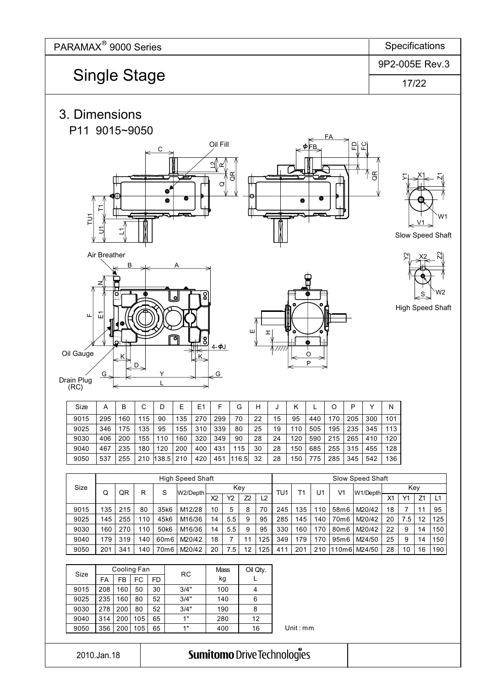

| Size | А   | в   | C   | D     | E   | E1  | F   | G     | н  | J  | Κ   |     | O   | P   | ◡   | N   |
|------|-----|-----|-----|-------|-----|-----|-----|-------|----|----|-----|-----|-----|-----|-----|-----|
| 9015 | 295 | 160 | 115 | 90    | 135 | 270 | 299 | 70    | 22 | 15 | 95  | 440 | 170 | 205 | 300 | 101 |
| 9025 | 346 | 175 | 135 | 95    | 155 | 310 | 339 | 80    | 25 | 19 | 110 | 505 | 195 | 235 | 345 | 113 |
| 9030 | 406 | 200 | 155 | 110   | 160 | 320 | 349 | 90    | 28 | 24 | 120 | 590 | 215 | 265 | 410 | 120 |
| 9040 | 467 | 235 | 180 | 120   | 200 | 400 | 431 | 115   | 30 | 28 | 150 | 685 | 255 | 315 | 455 | 128 |
| 9050 | 537 | 255 | 210 | 138.5 | 210 | 420 | 451 | 116.5 | 32 | 28 | 150 | 775 | 285 | 345 | 542 | 136 |

|      | <b>High Speed Shaft</b> |     |     |                  |          |                |     | Slow Speed Shaft |                |     |     |     |       |          |                |     |    |     |
|------|-------------------------|-----|-----|------------------|----------|----------------|-----|------------------|----------------|-----|-----|-----|-------|----------|----------------|-----|----|-----|
| Size | Q                       | QR  | R   | S                | W2/Depth |                | Key |                  |                | TU1 | Т1  | U1  | V1    | W1/Depth |                | Key |    |     |
|      |                         |     |     |                  |          | X <sub>2</sub> | Υ2  | 72               | L <sub>2</sub> |     |     |     |       |          | X <sub>1</sub> | Y1  | Z1 | L1  |
| 9015 | 135                     | 215 | 80  | 35k6             | M12/28   | 10             | 5   | 8                | 70             | 245 | 135 | 110 | 58m6  | M20/42   | 18             |     | 11 | 95  |
| 9025 | 145                     | 255 | 110 | 45k6             | M16/36   | 14             | 5.5 | 9                | 95             | 285 | 145 | 140 | 70m6  | M20/42   | 20             | 7.5 | 12 | 125 |
| 9030 | 160                     | 270 | 10  | 50 <sub>k6</sub> | M16/36   | 14             | 5.5 | 9                | 95             | 330 | 160 | 170 | 80m6  | M20/42   | 22             | 9   | 14 | 150 |
| 9040 | 179                     | 319 | 140 | 60m6             | M20/42   | 18             |     |                  | 125            | 349 | 179 | 170 | 95m6  | M24/50   | 25             | 9   | 14 | 150 |
| 9050 | 201                     | 341 | 40  | 70m6             | M20/42   | 20             | 7.5 | 12               | 125            | 411 | 201 | 210 | 110m6 | M24/50   | 28             | 10  | 16 | 190 |

| Size |     | Cooling Fan |     |    | RC   | <b>Mass</b> | Oil Qty. |
|------|-----|-------------|-----|----|------|-------------|----------|
|      | FA  | FB          | FC  | FD |      | kg          |          |
| 9015 | 208 | 160         | 50  | 30 | 3/4" | 100         | 4        |
| 9025 | 235 | 160         | 80  | 52 | 3/4" | 140         | 6        |
| 9030 | 278 | 200         | 80  | 52 | 3/4" | 190         | 8        |
| 9040 | 314 | 200         | 105 | 65 | 1"   | 280         | 12       |
| 9050 | 356 | 200         | 105 | 65 | 1"   | 400         | 16       |

Unit : mm

2010.Jan.18

(RC)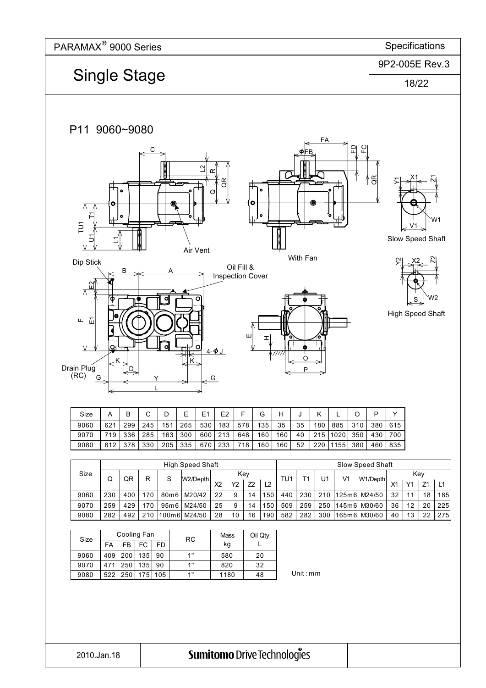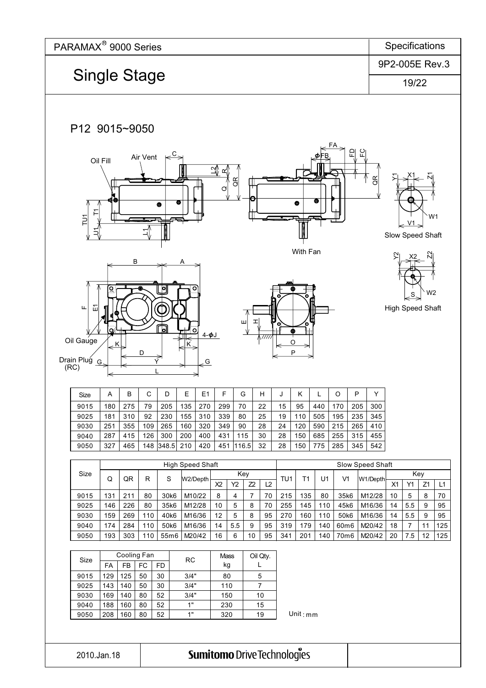

2010.Jan.18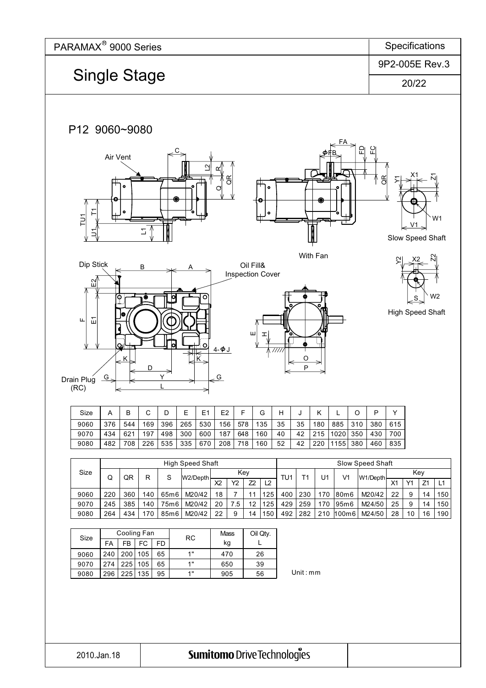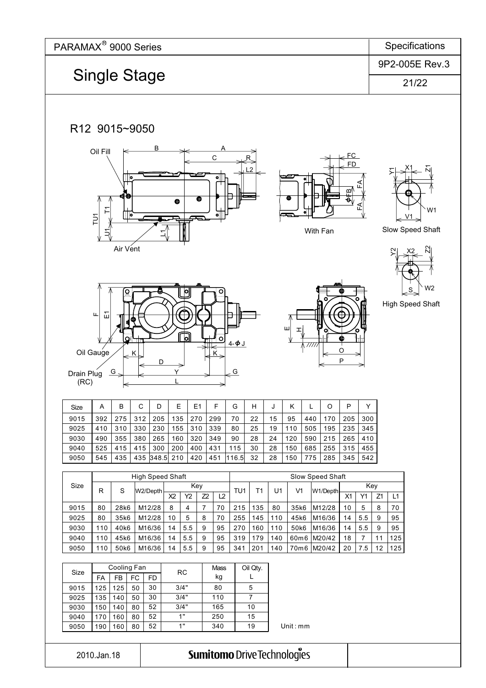

Unit : mm

2010.Jan.18

9050

**Sumitomo Drive Technologies** 

190 | 160 | 80 | 52 | 1" | 340 | 19